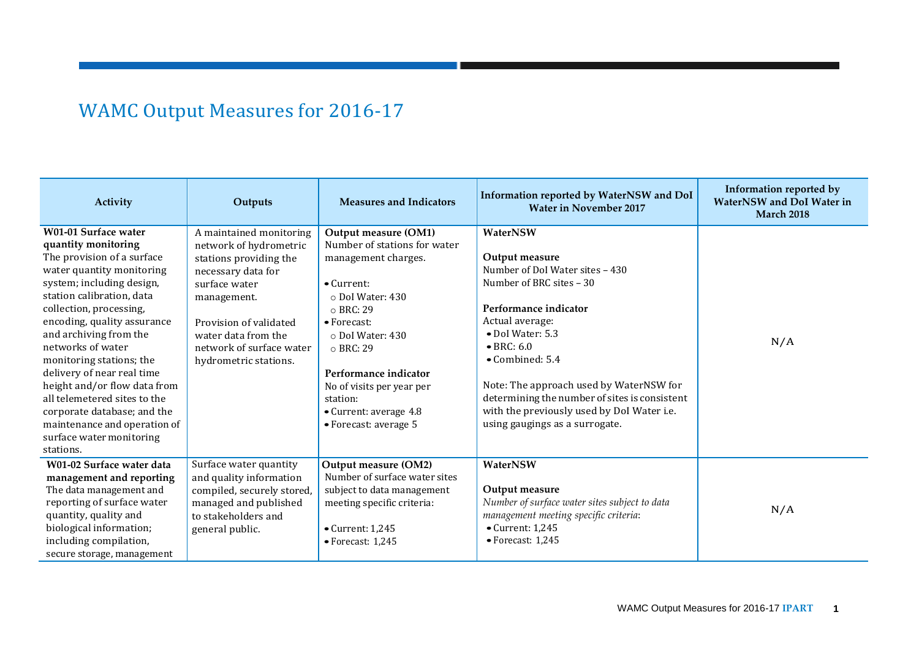## WAMC Output Measures for 2016-17

| Activity                                                                                                                                                                                                                                                                                                                                                                                                                                                                                                    | Outputs                                                                                                                                                                                                                                 | <b>Measures and Indicators</b>                                                                                                                                                                                                                                                                                                | Information reported by WaterNSW and DoI<br><b>Water in November 2017</b>                                                                                                                                                                                                                                                                                                              | Information reported by<br><b>WaterNSW</b> and DoI Water in<br><b>March 2018</b> |
|-------------------------------------------------------------------------------------------------------------------------------------------------------------------------------------------------------------------------------------------------------------------------------------------------------------------------------------------------------------------------------------------------------------------------------------------------------------------------------------------------------------|-----------------------------------------------------------------------------------------------------------------------------------------------------------------------------------------------------------------------------------------|-------------------------------------------------------------------------------------------------------------------------------------------------------------------------------------------------------------------------------------------------------------------------------------------------------------------------------|----------------------------------------------------------------------------------------------------------------------------------------------------------------------------------------------------------------------------------------------------------------------------------------------------------------------------------------------------------------------------------------|----------------------------------------------------------------------------------|
| W01-01 Surface water<br>quantity monitoring<br>The provision of a surface<br>water quantity monitoring<br>system; including design,<br>station calibration, data<br>collection, processing,<br>encoding, quality assurance<br>and archiving from the<br>networks of water<br>monitoring stations; the<br>delivery of near real time<br>height and/or flow data from<br>all telemetered sites to the<br>corporate database; and the<br>maintenance and operation of<br>surface water monitoring<br>stations. | A maintained monitoring<br>network of hydrometric<br>stations providing the<br>necessary data for<br>surface water<br>management.<br>Provision of validated<br>water data from the<br>network of surface water<br>hydrometric stations. | Output measure (OM1)<br>Number of stations for water<br>management charges.<br>$\bullet$ Current:<br>o Dol Water: 430<br>o BRC: 29<br>$\bullet$ Forecast:<br>o Dol Water: 430<br>$\circ$ BRC: 29<br>Performance indicator<br>No of visits per year per<br>station:<br>• Current: average 4.8<br>$\bullet$ Forecast: average 5 | WaterNSW<br>Output measure<br>Number of DoI Water sites - 430<br>Number of BRC sites - 30<br>Performance indicator<br>Actual average:<br>· DoI Water: 5.3<br>$\bullet$ BRC: 6.0<br>$\bullet$ Combined: 5.4<br>Note: The approach used by WaterNSW for<br>determining the number of sites is consistent<br>with the previously used by DoI Water i.e.<br>using gaugings as a surrogate. | N/A                                                                              |
| W01-02 Surface water data<br>management and reporting<br>The data management and<br>reporting of surface water<br>quantity, quality and<br>biological information;<br>including compilation,<br>secure storage, management                                                                                                                                                                                                                                                                                  | Surface water quantity<br>and quality information<br>compiled, securely stored,<br>managed and published<br>to stakeholders and<br>general public.                                                                                      | Output measure (OM2)<br>Number of surface water sites<br>subject to data management<br>meeting specific criteria:<br>$\bullet$ Current: 1,245<br>$\bullet$ Forecast: 1,245                                                                                                                                                    | WaterNSW<br>Output measure<br>Number of surface water sites subject to data<br>management meeting specific criteria:<br>$\bullet$ Current: 1,245<br>$\bullet$ Forecast: 1,245                                                                                                                                                                                                          | N/A                                                                              |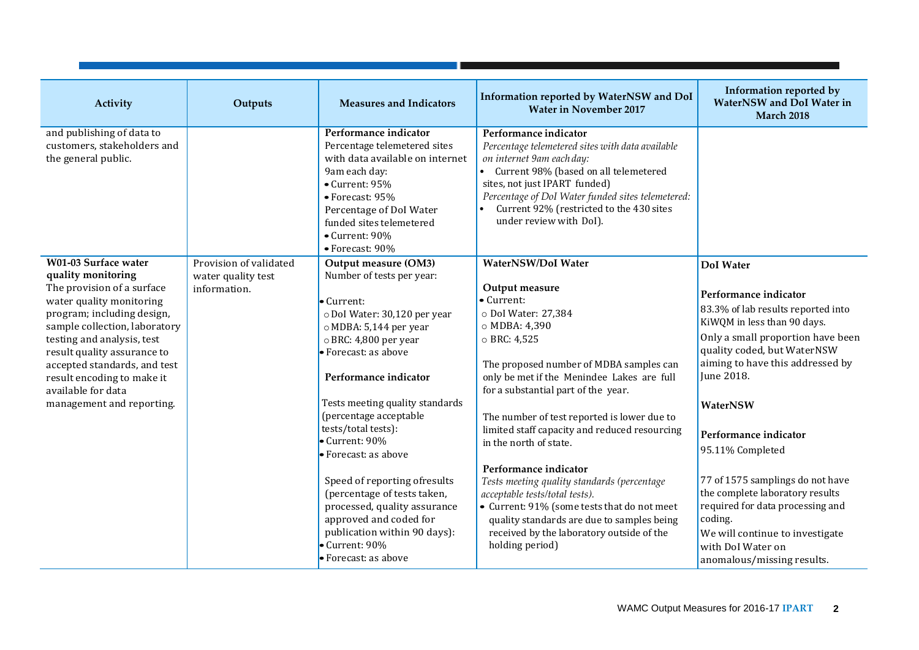| Activity                                                                                                                                                                                                                                                                                                                                          | Outputs                                                      | <b>Measures and Indicators</b>                                                                                                                                                                                                                                                                                                                                                                                                                                                                                                         | Information reported by WaterNSW and DoI<br><b>Water in November 2017</b>                                                                                                                                                                                                                                                                                                                                                                                                                                                                                                                                                                         | Information reported by<br><b>WaterNSW</b> and DoI Water in<br><b>March 2018</b>                                                                                                                                                                                                                                                                                                                                                                                                                          |
|---------------------------------------------------------------------------------------------------------------------------------------------------------------------------------------------------------------------------------------------------------------------------------------------------------------------------------------------------|--------------------------------------------------------------|----------------------------------------------------------------------------------------------------------------------------------------------------------------------------------------------------------------------------------------------------------------------------------------------------------------------------------------------------------------------------------------------------------------------------------------------------------------------------------------------------------------------------------------|---------------------------------------------------------------------------------------------------------------------------------------------------------------------------------------------------------------------------------------------------------------------------------------------------------------------------------------------------------------------------------------------------------------------------------------------------------------------------------------------------------------------------------------------------------------------------------------------------------------------------------------------------|-----------------------------------------------------------------------------------------------------------------------------------------------------------------------------------------------------------------------------------------------------------------------------------------------------------------------------------------------------------------------------------------------------------------------------------------------------------------------------------------------------------|
| and publishing of data to<br>customers, stakeholders and<br>the general public.                                                                                                                                                                                                                                                                   |                                                              | Performance indicator<br>Percentage telemetered sites<br>with data available on internet<br>9am each day:<br>$\bullet$ Current: 95%<br>• Forecast: 95%<br>Percentage of DoI Water<br>funded sites telemetered<br>• Current: 90%<br>• Forecast: 90%                                                                                                                                                                                                                                                                                     | Performance indicator<br>Percentage telemetered sites with data available<br>on internet 9am each day:<br>• Current 98% (based on all telemetered<br>sites, not just IPART funded)<br>Percentage of DoI Water funded sites telemetered:<br>Current 92% (restricted to the 430 sites<br>under review with DoI).                                                                                                                                                                                                                                                                                                                                    |                                                                                                                                                                                                                                                                                                                                                                                                                                                                                                           |
| W01-03 Surface water<br>quality monitoring<br>The provision of a surface<br>water quality monitoring<br>program; including design,<br>sample collection, laboratory<br>testing and analysis, test<br>result quality assurance to<br>accepted standards, and test<br>result encoding to make it<br>available for data<br>management and reporting. | Provision of validated<br>water quality test<br>information. | Output measure (OM3)<br>Number of tests per year:<br>$\bullet$ Current:<br>o DoI Water: 30,120 per year<br>o MDBA: 5,144 per year<br>o BRC: 4,800 per year<br>Forecast: as above<br>Performance indicator<br>Tests meeting quality standards<br>(percentage acceptable<br>tests/total tests):<br>Current: 90%<br>• Forecast: as above<br>Speed of reporting ofresults<br>(percentage of tests taken,<br>processed, quality assurance<br>approved and coded for<br>publication within 90 days):<br>Current: 90%<br>• Forecast: as above | WaterNSW/DoI Water<br>Output measure<br>• Current:<br>o Dol Water: 27,384<br>o MDBA: 4,390<br>$\circ$ BRC: 4,525<br>The proposed number of MDBA samples can<br>only be met if the Menindee Lakes are full<br>for a substantial part of the year.<br>The number of test reported is lower due to<br>limited staff capacity and reduced resourcing<br>in the north of state.<br>Performance indicator<br>Tests meeting quality standards (percentage<br>acceptable tests/total tests).<br>• Current: 91% (some tests that do not meet<br>quality standards are due to samples being<br>received by the laboratory outside of the<br>holding period) | <b>DoI</b> Water<br>Performance indicator<br>83.3% of lab results reported into<br>KiWQM in less than 90 days.<br>Only a small proportion have been<br>quality coded, but WaterNSW<br>aiming to have this addressed by<br>June 2018.<br>WaterNSW<br>Performance indicator<br>95.11% Completed<br>77 of 1575 samplings do not have<br>the complete laboratory results<br>required for data processing and<br>coding.<br>We will continue to investigate<br>with DoI Water on<br>anomalous/missing results. |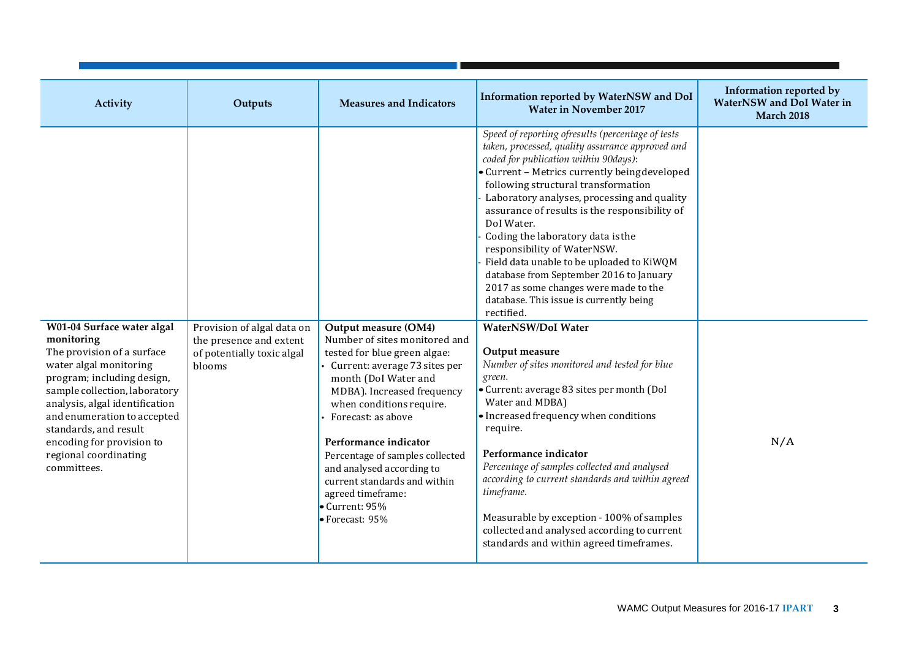|                                                                                                                                                                                                                                                                                                                                |                                                                                               |                                                                                                                                                                                                                                                                                                                                                                                                                           |                                                                                                                                                                                                                                                                                                                                                                                                                                                                                                                                                                                                                   | Information reported by                        |
|--------------------------------------------------------------------------------------------------------------------------------------------------------------------------------------------------------------------------------------------------------------------------------------------------------------------------------|-----------------------------------------------------------------------------------------------|---------------------------------------------------------------------------------------------------------------------------------------------------------------------------------------------------------------------------------------------------------------------------------------------------------------------------------------------------------------------------------------------------------------------------|-------------------------------------------------------------------------------------------------------------------------------------------------------------------------------------------------------------------------------------------------------------------------------------------------------------------------------------------------------------------------------------------------------------------------------------------------------------------------------------------------------------------------------------------------------------------------------------------------------------------|------------------------------------------------|
| Activity                                                                                                                                                                                                                                                                                                                       | Outputs                                                                                       | <b>Measures and Indicators</b>                                                                                                                                                                                                                                                                                                                                                                                            | Information reported by WaterNSW and DoI<br><b>Water in November 2017</b>                                                                                                                                                                                                                                                                                                                                                                                                                                                                                                                                         | WaterNSW and DoI Water in<br><b>March 2018</b> |
|                                                                                                                                                                                                                                                                                                                                |                                                                                               |                                                                                                                                                                                                                                                                                                                                                                                                                           | Speed of reporting ofresults (percentage of tests<br>taken, processed, quality assurance approved and<br>coded for publication within 90days):<br>• Current - Metrics currently beingdeveloped<br>following structural transformation<br>Laboratory analyses, processing and quality<br>assurance of results is the responsibility of<br>DoI Water.<br>Coding the laboratory data is the<br>responsibility of WaterNSW.<br>Field data unable to be uploaded to KiWQM<br>database from September 2016 to January<br>2017 as some changes were made to the<br>database. This issue is currently being<br>rectified. |                                                |
| W01-04 Surface water algal<br>monitoring<br>The provision of a surface<br>water algal monitoring<br>program; including design,<br>sample collection, laboratory<br>analysis, algal identification<br>and enumeration to accepted<br>standards, and result<br>encoding for provision to<br>regional coordinating<br>committees. | Provision of algal data on<br>the presence and extent<br>of potentially toxic algal<br>blooms | Output measure (OM4)<br>Number of sites monitored and<br>tested for blue green algae:<br>Current: average 73 sites per<br>month (DoI Water and<br>MDBA). Increased frequency<br>when conditions require.<br>Forecast: as above<br>Performance indicator<br>Percentage of samples collected<br>and analysed according to<br>current standards and within<br>agreed timeframe:<br>$\bullet$ Current: 95%<br>• Forecast: 95% | WaterNSW/DoI Water<br>Output measure<br>Number of sites monitored and tested for blue<br>green.<br>• Current: average 83 sites per month (DoI<br>Water and MDBA)<br>• Increased frequency when conditions<br>require.<br>Performance indicator<br>Percentage of samples collected and analysed<br>according to current standards and within agreed<br>timeframe.<br>Measurable by exception - 100% of samples<br>collected and analysed according to current<br>standards and within agreed timeframes.                                                                                                           | N/A                                            |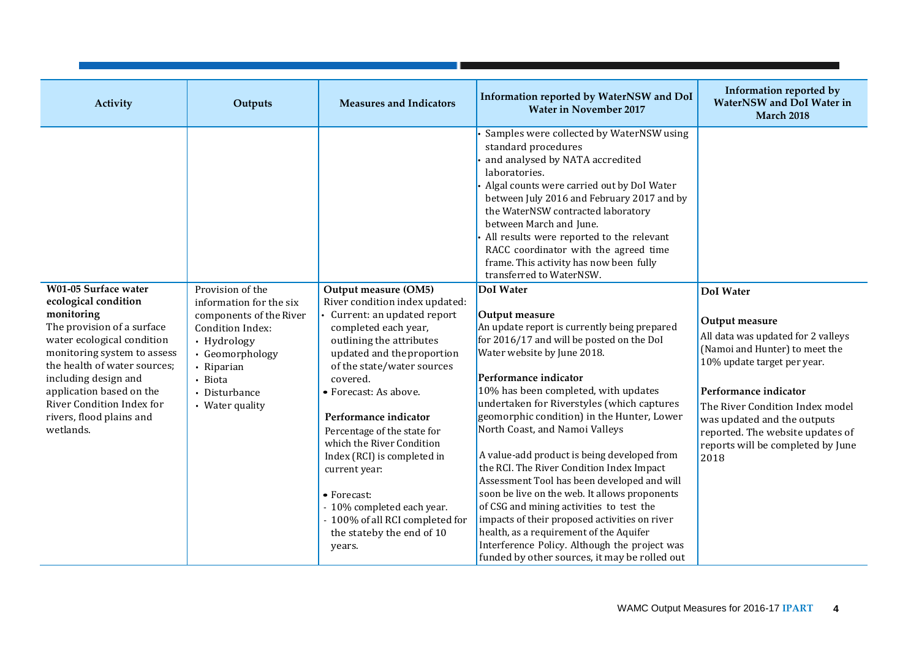| Activity                                                                                                                                                                                                                                                                                | Outputs                                                                                                                                                               | <b>Measures and Indicators</b>                                                                                                                                                                                                                                                                                                                                                                                                                                                | Information reported by WaterNSW and DoI<br><b>Water in November 2017</b>                                                                                                                                                                                                                                                                                                                                                                                                                                                                                                                                                                                                                                                                                                       | Information reported by<br>WaterNSW and DoI Water in<br><b>March 2018</b>                                                                                                                                                                                                                         |
|-----------------------------------------------------------------------------------------------------------------------------------------------------------------------------------------------------------------------------------------------------------------------------------------|-----------------------------------------------------------------------------------------------------------------------------------------------------------------------|-------------------------------------------------------------------------------------------------------------------------------------------------------------------------------------------------------------------------------------------------------------------------------------------------------------------------------------------------------------------------------------------------------------------------------------------------------------------------------|---------------------------------------------------------------------------------------------------------------------------------------------------------------------------------------------------------------------------------------------------------------------------------------------------------------------------------------------------------------------------------------------------------------------------------------------------------------------------------------------------------------------------------------------------------------------------------------------------------------------------------------------------------------------------------------------------------------------------------------------------------------------------------|---------------------------------------------------------------------------------------------------------------------------------------------------------------------------------------------------------------------------------------------------------------------------------------------------|
| W01-05 Surface water                                                                                                                                                                                                                                                                    | Provision of the                                                                                                                                                      | Output measure (OM5)                                                                                                                                                                                                                                                                                                                                                                                                                                                          | Samples were collected by WaterNSW using<br>standard procedures<br>and analysed by NATA accredited<br>laboratories.<br>Algal counts were carried out by DoI Water<br>between July 2016 and February 2017 and by<br>the WaterNSW contracted laboratory<br>between March and June.<br>All results were reported to the relevant<br>RACC coordinator with the agreed time<br>frame. This activity has now been fully<br>transferred to WaterNSW.<br>DoI Water                                                                                                                                                                                                                                                                                                                      | <b>DoI</b> Water                                                                                                                                                                                                                                                                                  |
| ecological condition<br>monitoring<br>The provision of a surface<br>water ecological condition<br>monitoring system to assess<br>the health of water sources;<br>including design and<br>application based on the<br>River Condition Index for<br>rivers, flood plains and<br>wetlands. | information for the six<br>components of the River<br>Condition Index:<br>• Hydrology<br>• Geomorphology<br>• Riparian<br>• Biota<br>• Disturbance<br>• Water quality | River condition index updated:<br>Current: an updated report<br>completed each year,<br>outlining the attributes<br>updated and the proportion<br>of the state/water sources<br>covered.<br>• Forecast: As above.<br>Performance indicator<br>Percentage of the state for<br>which the River Condition<br>Index (RCI) is completed in<br>current year:<br>• Forecast:<br>- 10% completed each year.<br>- 100% of all RCI completed for<br>the stateby the end of 10<br>years. | Output measure<br>An update report is currently being prepared<br>for 2016/17 and will be posted on the DoI<br>Water website by June 2018.<br>Performance indicator<br>10% has been completed, with updates<br>undertaken for Riverstyles (which captures<br>geomorphic condition) in the Hunter, Lower<br>North Coast, and Namoi Valleys<br>A value-add product is being developed from<br>the RCI. The River Condition Index Impact<br>Assessment Tool has been developed and will<br>soon be live on the web. It allows proponents<br>of CSG and mining activities to test the<br>impacts of their proposed activities on river<br>health, as a requirement of the Aquifer<br>Interference Policy. Although the project was<br>funded by other sources, it may be rolled out | Output measure<br>All data was updated for 2 valleys<br>(Namoi and Hunter) to meet the<br>10% update target per year.<br>Performance indicator<br>The River Condition Index model<br>was updated and the outputs<br>reported. The website updates of<br>reports will be completed by June<br>2018 |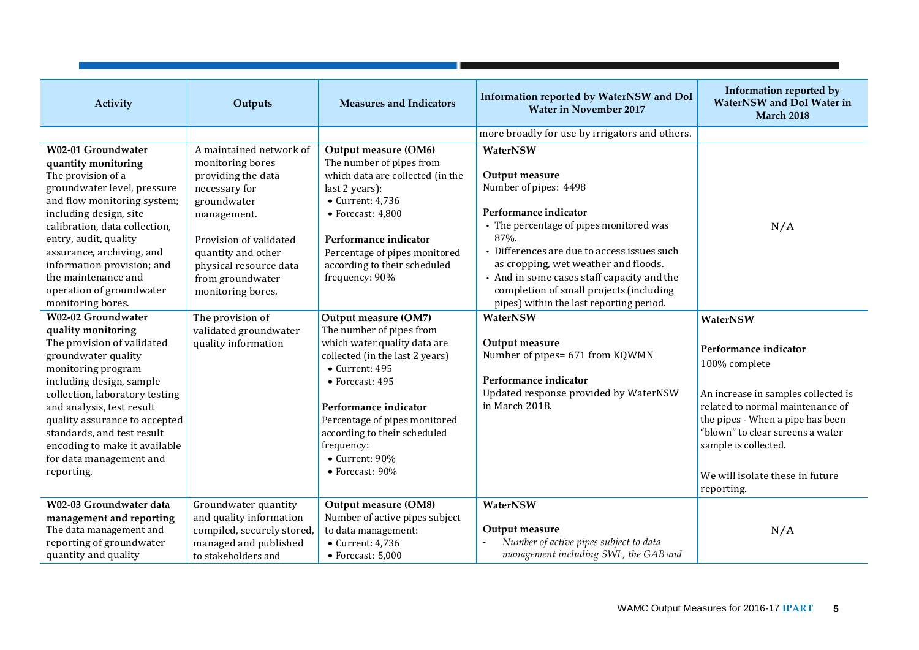| Activity                                                                                                                                                                                                                                                                                                                                             | Outputs                                                                                                                                                                                                                             | <b>Measures and Indicators</b>                                                                                                                                                                                                                                              | Information reported by WaterNSW and DoI<br><b>Water in November 2017</b>                                                                                                                                                                                                                                                                                   | Information reported by<br>WaterNSW and DoI Water in<br><b>March 2018</b>                                                                                               |
|------------------------------------------------------------------------------------------------------------------------------------------------------------------------------------------------------------------------------------------------------------------------------------------------------------------------------------------------------|-------------------------------------------------------------------------------------------------------------------------------------------------------------------------------------------------------------------------------------|-----------------------------------------------------------------------------------------------------------------------------------------------------------------------------------------------------------------------------------------------------------------------------|-------------------------------------------------------------------------------------------------------------------------------------------------------------------------------------------------------------------------------------------------------------------------------------------------------------------------------------------------------------|-------------------------------------------------------------------------------------------------------------------------------------------------------------------------|
|                                                                                                                                                                                                                                                                                                                                                      |                                                                                                                                                                                                                                     |                                                                                                                                                                                                                                                                             | more broadly for use by irrigators and others.                                                                                                                                                                                                                                                                                                              |                                                                                                                                                                         |
| W02-01 Groundwater<br>quantity monitoring<br>The provision of a<br>groundwater level, pressure<br>and flow monitoring system;<br>including design, site<br>calibration, data collection,<br>entry, audit, quality<br>assurance, archiving, and<br>information provision; and<br>the maintenance and<br>operation of groundwater<br>monitoring bores. | A maintained network of<br>monitoring bores<br>providing the data<br>necessary for<br>groundwater<br>management.<br>Provision of validated<br>quantity and other<br>physical resource data<br>from groundwater<br>monitoring bores. | Output measure (OM6)<br>The number of pipes from<br>which data are collected (in the<br>last 2 years):<br>$\bullet$ Current: 4,736<br>$\bullet$ Forecast: 4,800<br>Performance indicator<br>Percentage of pipes monitored<br>according to their scheduled<br>frequency: 90% | WaterNSW<br>Output measure<br>Number of pipes: 4498<br>Performance indicator<br>• The percentage of pipes monitored was<br>87%.<br>• Differences are due to access issues such<br>as cropping, wet weather and floods.<br>• And in some cases staff capacity and the<br>completion of small projects (including<br>pipes) within the last reporting period. | N/A                                                                                                                                                                     |
| <b>W02-02 Groundwater</b><br>quality monitoring                                                                                                                                                                                                                                                                                                      | The provision of<br>validated groundwater                                                                                                                                                                                           | Output measure (OM7)<br>The number of pipes from                                                                                                                                                                                                                            | WaterNSW                                                                                                                                                                                                                                                                                                                                                    | WaterNSW                                                                                                                                                                |
| The provision of validated<br>groundwater quality<br>monitoring program<br>including design, sample                                                                                                                                                                                                                                                  | quality information                                                                                                                                                                                                                 | which water quality data are<br>collected (in the last 2 years)<br>$\bullet$ Current: 495<br>• Forecast: 495                                                                                                                                                                | Output measure<br>Number of pipes= 671 from KQWMN<br>Performance indicator                                                                                                                                                                                                                                                                                  | Performance indicator<br>100% complete                                                                                                                                  |
| collection, laboratory testing<br>and analysis, test result<br>quality assurance to accepted<br>standards, and test result<br>encoding to make it available<br>for data management and                                                                                                                                                               |                                                                                                                                                                                                                                     | Performance indicator<br>Percentage of pipes monitored<br>according to their scheduled<br>frequency:<br>• Current: 90%                                                                                                                                                      | Updated response provided by WaterNSW<br>in March 2018.                                                                                                                                                                                                                                                                                                     | An increase in samples collected is<br>related to normal maintenance of<br>the pipes - When a pipe has been<br>"blown" to clear screens a water<br>sample is collected. |
| reporting.                                                                                                                                                                                                                                                                                                                                           |                                                                                                                                                                                                                                     | • Forecast: 90%                                                                                                                                                                                                                                                             |                                                                                                                                                                                                                                                                                                                                                             | We will isolate these in future<br>reporting.                                                                                                                           |
| W02-03 Groundwater data<br>management and reporting<br>The data management and<br>reporting of groundwater<br>quantity and quality                                                                                                                                                                                                                   | Groundwater quantity<br>and quality information<br>compiled, securely stored,<br>managed and published<br>to stakeholders and                                                                                                       | Output measure (OM8)<br>Number of active pipes subject<br>to data management:<br>$\bullet$ Current: 4,736<br>$\bullet$ Forecast: 5,000                                                                                                                                      | WaterNSW<br>Output measure<br>Number of active pipes subject to data<br>management including SWL, the GAB and                                                                                                                                                                                                                                               | N/A                                                                                                                                                                     |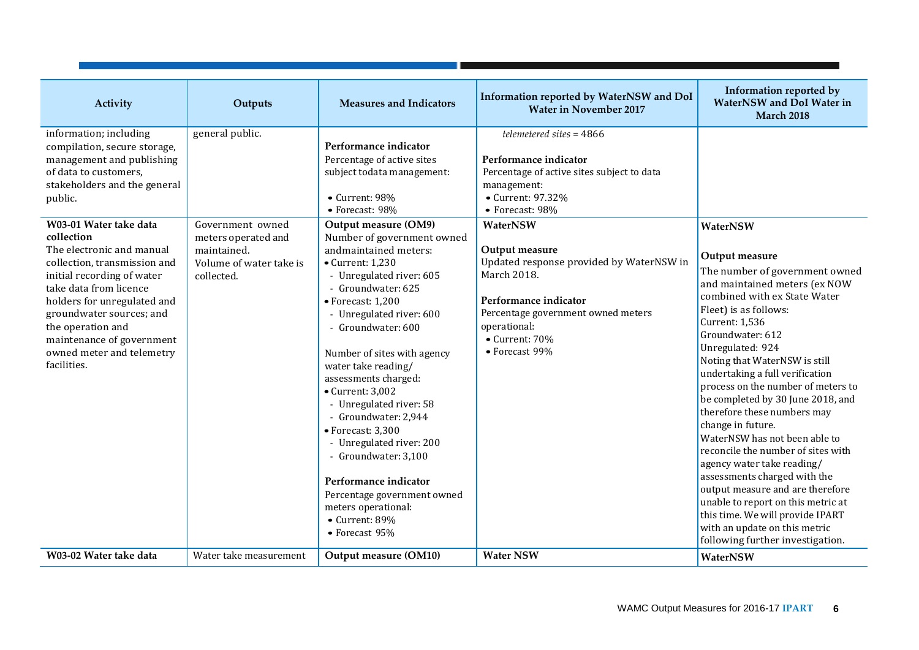| Activity                                                                                                                                                                                                                                                                                                                                                                                                                                                                      | Outputs                                                                                                            | <b>Measures and Indicators</b>                                                                                                                                                                                                                                                                                                                                                                                                                                                                                                                                                                                                                                                                            | Information reported by WaterNSW and DoI<br><b>Water in November 2017</b>                                                                                                                                                                                                                                                                                                     | Information reported by<br>WaterNSW and DoI Water in<br><b>March 2018</b>                                                                                                                                                                                                                                                                                                                                                                                                                                                                                                                                                                                                     |
|-------------------------------------------------------------------------------------------------------------------------------------------------------------------------------------------------------------------------------------------------------------------------------------------------------------------------------------------------------------------------------------------------------------------------------------------------------------------------------|--------------------------------------------------------------------------------------------------------------------|-----------------------------------------------------------------------------------------------------------------------------------------------------------------------------------------------------------------------------------------------------------------------------------------------------------------------------------------------------------------------------------------------------------------------------------------------------------------------------------------------------------------------------------------------------------------------------------------------------------------------------------------------------------------------------------------------------------|-------------------------------------------------------------------------------------------------------------------------------------------------------------------------------------------------------------------------------------------------------------------------------------------------------------------------------------------------------------------------------|-------------------------------------------------------------------------------------------------------------------------------------------------------------------------------------------------------------------------------------------------------------------------------------------------------------------------------------------------------------------------------------------------------------------------------------------------------------------------------------------------------------------------------------------------------------------------------------------------------------------------------------------------------------------------------|
| information; including<br>compilation, secure storage,<br>management and publishing<br>of data to customers,<br>stakeholders and the general<br>public.<br>W03-01 Water take data<br>collection<br>The electronic and manual<br>collection, transmission and<br>initial recording of water<br>take data from licence<br>holders for unregulated and<br>groundwater sources; and<br>the operation and<br>maintenance of government<br>owned meter and telemetry<br>facilities. | general public.<br>Government owned<br>meters operated and<br>maintained.<br>Volume of water take is<br>collected. | Performance indicator<br>Percentage of active sites<br>subject todata management:<br>• Current: 98%<br>• Forecast: 98%<br>Output measure (OM9)<br>Number of government owned<br>andmaintained meters:<br>$\bullet$ Current: 1,230<br>- Unregulated river: 605<br>- Groundwater: 625<br>· Forecast: 1,200<br>- Unregulated river: 600<br>- Groundwater: 600<br>Number of sites with agency<br>water take reading/<br>assessments charged:<br>$\bullet$ Current: 3,002<br>- Unregulated river: 58<br>- Groundwater: 2,944<br>· Forecast: 3,300<br>- Unregulated river: 200<br>- Groundwater: 3,100<br>Performance indicator<br>Percentage government owned<br>meters operational:<br>$\bullet$ Current: 89% | $t$ elemetered sites = 4866<br>Performance indicator<br>Percentage of active sites subject to data<br>management:<br>• Current: 97.32%<br>• Forecast: 98%<br>WaterNSW<br>Output measure<br>Updated response provided by WaterNSW in<br>March 2018.<br>Performance indicator<br>Percentage government owned meters<br>operational:<br>$\bullet$ Current: 70%<br>• Forecast 99% | WaterNSW<br>Output measure<br>The number of government owned<br>and maintained meters (ex NOW<br>combined with ex State Water<br>Fleet) is as follows:<br><b>Current: 1,536</b><br>Groundwater: 612<br>Unregulated: 924<br>Noting that WaterNSW is still<br>undertaking a full verification<br>process on the number of meters to<br>be completed by 30 June 2018, and<br>therefore these numbers may<br>change in future.<br>WaterNSW has not been able to<br>reconcile the number of sites with<br>agency water take reading/<br>assessments charged with the<br>output measure and are therefore<br>unable to report on this metric at<br>this time. We will provide IPART |
| W03-02 Water take data                                                                                                                                                                                                                                                                                                                                                                                                                                                        | Water take measurement                                                                                             | • Forecast 95%<br>Output measure (OM10)                                                                                                                                                                                                                                                                                                                                                                                                                                                                                                                                                                                                                                                                   | <b>Water NSW</b>                                                                                                                                                                                                                                                                                                                                                              | with an update on this metric<br>following further investigation.<br>WaterNSW                                                                                                                                                                                                                                                                                                                                                                                                                                                                                                                                                                                                 |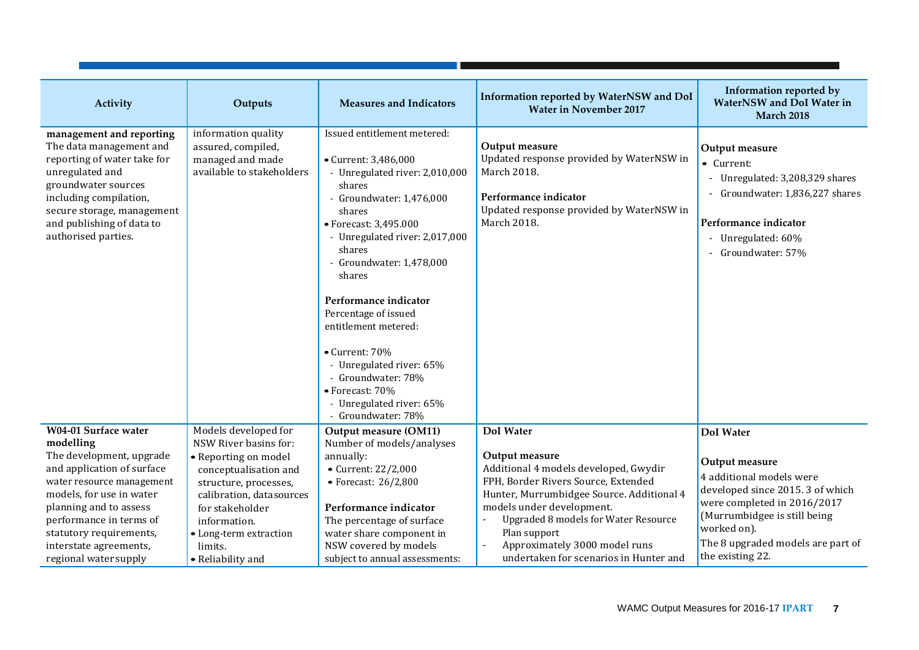| Activity                                                                                                                                                                                                                                 | Outputs                                                                                                                                                                                | <b>Measures and Indicators</b>                                                                                                                                                                                                                                                                                                                                                                                                                                   | Information reported by WaterNSW and DoI<br><b>Water in November 2017</b>                                                                                                                                                                                   | Information reported by<br><b>WaterNSW</b> and DoI Water in<br><b>March 2018</b>                                                                                                  |
|------------------------------------------------------------------------------------------------------------------------------------------------------------------------------------------------------------------------------------------|----------------------------------------------------------------------------------------------------------------------------------------------------------------------------------------|------------------------------------------------------------------------------------------------------------------------------------------------------------------------------------------------------------------------------------------------------------------------------------------------------------------------------------------------------------------------------------------------------------------------------------------------------------------|-------------------------------------------------------------------------------------------------------------------------------------------------------------------------------------------------------------------------------------------------------------|-----------------------------------------------------------------------------------------------------------------------------------------------------------------------------------|
| management and reporting<br>The data management and<br>reporting of water take for<br>unregulated and<br>groundwater sources<br>including compilation,<br>secure storage, management<br>and publishing of data to<br>authorised parties. | information quality<br>assured, compiled,<br>managed and made<br>available to stakeholders                                                                                             | Issued entitlement metered:<br>• Current: 3,486,000<br>- Unregulated river: 2,010,000<br>shares<br>- Groundwater: 1,476,000<br>shares<br>• Forecast: 3,495.000<br>- Unregulated river: 2,017,000<br>shares<br>- Groundwater: 1,478,000<br>shares<br>Performance indicator<br>Percentage of issued<br>entitlement metered:<br>• Current: 70%<br>- Unregulated river: 65%<br>Groundwater: 78%<br>• Forecast: 70%<br>- Unregulated river: 65%<br>- Groundwater: 78% | Output measure<br>Updated response provided by WaterNSW in<br>March 2018.<br>Performance indicator<br>Updated response provided by WaterNSW in<br>March 2018.                                                                                               | Output measure<br>• Current:<br>Unregulated: 3,208,329 shares<br>$\blacksquare$<br>Groundwater: 1,836,227 shares<br>Performance indicator<br>Unregulated: 60%<br>Groundwater: 57% |
| W04-01 Surface water<br>modelling<br>The development, upgrade<br>and application of surface<br>water resource management<br>models, for use in water<br>planning and to assess<br>performance in terms of                                | Models developed for<br>NSW River basins for:<br>• Reporting on model<br>conceptualisation and<br>structure, processes,<br>calibration, datasources<br>for stakeholder<br>information. | Output measure (OM11)<br>Number of models/analyses<br>annually:<br>• Current: 22/2,000<br>$\bullet$ Forecast: 26/2,800<br>Performance indicator<br>The percentage of surface                                                                                                                                                                                                                                                                                     | <b>DoI</b> Water<br>Output measure<br>Additional 4 models developed, Gwydir<br>FPH, Border Rivers Source, Extended<br>Hunter, Murrumbidgee Source. Additional 4<br>models under development.<br><b>Upgraded 8 models for Water Resource</b><br>Plan support | <b>DoI</b> Water<br>Output measure<br>4 additional models were<br>developed since 2015. 3 of which<br>were completed in 2016/2017<br>(Murrumbidgee is still being<br>worked on).  |
| statutory requirements,<br>interstate agreements,<br>regional water supply                                                                                                                                                               | • Long-term extraction<br>limits.<br>• Reliability and                                                                                                                                 | water share component in<br>NSW covered by models<br>subject to annual assessments:                                                                                                                                                                                                                                                                                                                                                                              | Approximately 3000 model runs<br>undertaken for scenarios in Hunter and                                                                                                                                                                                     | The 8 upgraded models are part of<br>the existing 22.                                                                                                                             |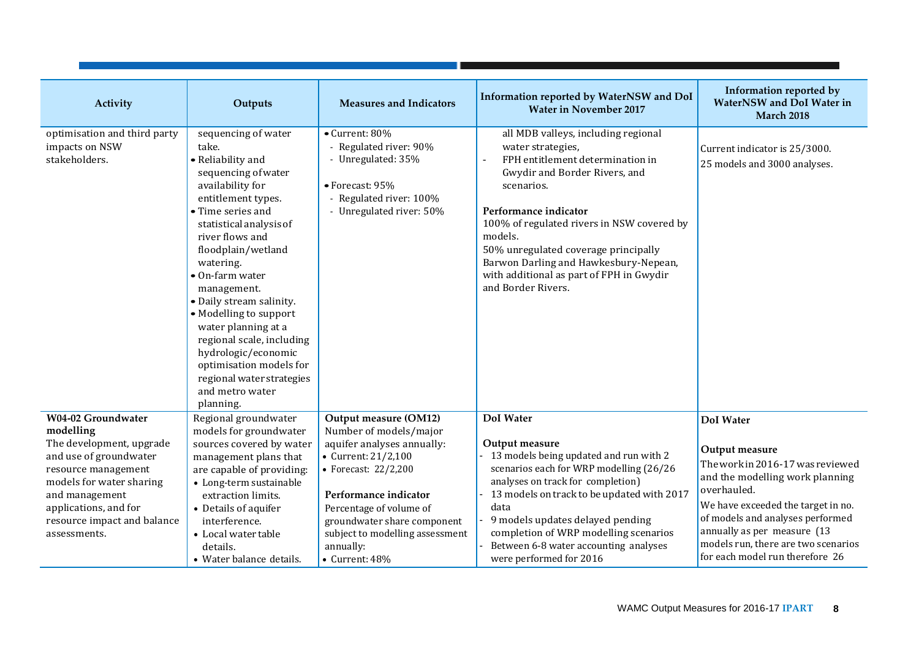| Activity                                                                                                                                                                                                                           | Outputs                                                                                                                                                                                                                                                                                                                                                                                                                                                                             | <b>Measures and Indicators</b>                                                                                                                                                                                                                                                            | Information reported by WaterNSW and DoI<br><b>Water in November 2017</b>                                                                                                                                                                                                                                                                                                                          | Information reported by<br><b>WaterNSW</b> and DoI Water in<br><b>March 2018</b>                                                                                                                                                                                                                            |
|------------------------------------------------------------------------------------------------------------------------------------------------------------------------------------------------------------------------------------|-------------------------------------------------------------------------------------------------------------------------------------------------------------------------------------------------------------------------------------------------------------------------------------------------------------------------------------------------------------------------------------------------------------------------------------------------------------------------------------|-------------------------------------------------------------------------------------------------------------------------------------------------------------------------------------------------------------------------------------------------------------------------------------------|----------------------------------------------------------------------------------------------------------------------------------------------------------------------------------------------------------------------------------------------------------------------------------------------------------------------------------------------------------------------------------------------------|-------------------------------------------------------------------------------------------------------------------------------------------------------------------------------------------------------------------------------------------------------------------------------------------------------------|
| optimisation and third party<br>impacts on NSW<br>stakeholders.                                                                                                                                                                    | sequencing of water<br>take.<br>• Reliability and<br>sequencing of water<br>availability for<br>entitlement types.<br>• Time series and<br>statistical analysis of<br>river flows and<br>floodplain/wetland<br>watering.<br>• On-farm water<br>management.<br>· Daily stream salinity.<br>• Modelling to support<br>water planning at a<br>regional scale, including<br>hydrologic/economic<br>optimisation models for<br>regional water strategies<br>and metro water<br>planning. | • Current: 80%<br>- Regulated river: 90%<br>- Unregulated: 35%<br>• Forecast: 95%<br>- Regulated river: 100%<br>- Unregulated river: 50%                                                                                                                                                  | all MDB valleys, including regional<br>water strategies,<br>FPH entitlement determination in<br>$\blacksquare$<br>Gwydir and Border Rivers, and<br>scenarios.<br>Performance indicator<br>100% of regulated rivers in NSW covered by<br>models.<br>50% unregulated coverage principally<br>Barwon Darling and Hawkesbury-Nepean,<br>with additional as part of FPH in Gwydir<br>and Border Rivers. | Current indicator is 25/3000.<br>25 models and 3000 analyses.                                                                                                                                                                                                                                               |
| W04-02 Groundwater<br>modelling<br>The development, upgrade<br>and use of groundwater<br>resource management<br>models for water sharing<br>and management<br>applications, and for<br>resource impact and balance<br>assessments. | Regional groundwater<br>models for groundwater<br>sources covered by water<br>management plans that<br>are capable of providing:<br>• Long-term sustainable<br>extraction limits.<br>• Details of aquifer<br>interference.<br>• Local water table<br>details.<br>• Water balance details.                                                                                                                                                                                           | Output measure (OM12)<br>Number of models/major<br>aquifer analyses annually:<br>• Current: 21/2,100<br>• Forecast: 22/2,200<br>Performance indicator<br>Percentage of volume of<br>groundwater share component<br>subject to modelling assessment<br>annually:<br>$\bullet$ Current: 48% | DoI Water<br>Output measure<br>13 models being updated and run with 2<br>scenarios each for WRP modelling (26/26<br>analyses on track for completion)<br>13 models on track to be updated with 2017<br>data<br>9 models updates delayed pending<br>completion of WRP modelling scenarios<br>Between 6-8 water accounting analyses<br>were performed for 2016                                       | <b>DoI</b> Water<br>Output measure<br>The work in 2016-17 was reviewed<br>and the modelling work planning<br>overhauled.<br>We have exceeded the target in no.<br>of models and analyses performed<br>annually as per measure (13<br>models run, there are two scenarios<br>for each model run therefore 26 |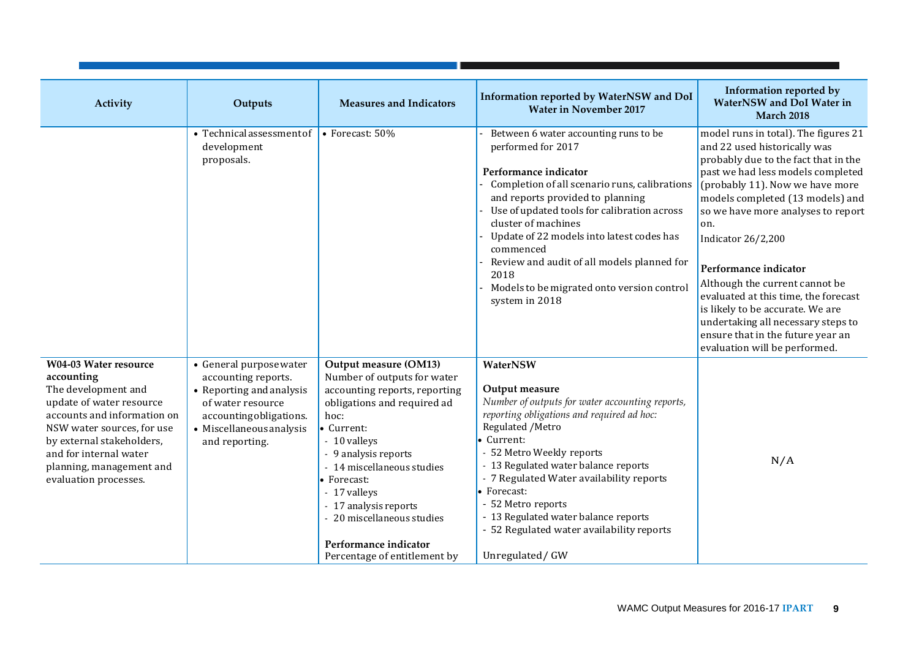| Activity                                                                                                                                                                                                                                                               | Outputs                                                                                                                                                                 | <b>Measures and Indicators</b>                                                                                                                                                                                                                                                                                                                                  | Information reported by WaterNSW and DoI<br><b>Water in November 2017</b>                                                                                                                                                                                                                                                                                                                                                       | Information reported by<br>WaterNSW and DoI Water in<br><b>March 2018</b>                                                                                                                                                                                                                                                                                                                                                                                                                                                                             |
|------------------------------------------------------------------------------------------------------------------------------------------------------------------------------------------------------------------------------------------------------------------------|-------------------------------------------------------------------------------------------------------------------------------------------------------------------------|-----------------------------------------------------------------------------------------------------------------------------------------------------------------------------------------------------------------------------------------------------------------------------------------------------------------------------------------------------------------|---------------------------------------------------------------------------------------------------------------------------------------------------------------------------------------------------------------------------------------------------------------------------------------------------------------------------------------------------------------------------------------------------------------------------------|-------------------------------------------------------------------------------------------------------------------------------------------------------------------------------------------------------------------------------------------------------------------------------------------------------------------------------------------------------------------------------------------------------------------------------------------------------------------------------------------------------------------------------------------------------|
|                                                                                                                                                                                                                                                                        | • Technical assessment of<br>development<br>proposals.                                                                                                                  | • Forecast: 50%                                                                                                                                                                                                                                                                                                                                                 | Between 6 water accounting runs to be<br>performed for 2017<br>Performance indicator<br>Completion of all scenario runs, calibrations<br>and reports provided to planning<br>Use of updated tools for calibration across<br>cluster of machines<br>Update of 22 models into latest codes has<br>commenced<br>Review and audit of all models planned for<br>2018<br>Models to be migrated onto version control<br>system in 2018 | model runs in total). The figures 21<br>and 22 used historically was<br>probably due to the fact that in the<br>past we had less models completed<br>(probably 11). Now we have more<br>models completed (13 models) and<br>so we have more analyses to report<br>on.<br><b>Indicator 26/2,200</b><br>Performance indicator<br>Although the current cannot be<br>evaluated at this time, the forecast<br>is likely to be accurate. We are<br>undertaking all necessary steps to<br>ensure that in the future year an<br>evaluation will be performed. |
| <b>W04-03 Water resource</b><br>accounting<br>The development and<br>update of water resource<br>accounts and information on<br>NSW water sources, for use<br>by external stakeholders,<br>and for internal water<br>planning, management and<br>evaluation processes. | • General purpose water<br>accounting reports.<br>• Reporting and analysis<br>of water resource<br>accountingobligations.<br>• Miscellaneous analysis<br>and reporting. | Output measure (OM13)<br>Number of outputs for water<br>accounting reports, reporting<br>obligations and required ad<br>hoc:<br>• Current:<br>- 10 valleys<br>- 9 analysis reports<br>- 14 miscellaneous studies<br>• Forecast:<br>- 17 valleys<br>- 17 analysis reports<br>- 20 miscellaneous studies<br>Performance indicator<br>Percentage of entitlement by | WaterNSW<br>Output measure<br>Number of outputs for water accounting reports,<br>reporting obligations and required ad hoc:<br>Regulated / Metro<br>Current:<br>- 52 Metro Weekly reports<br>- 13 Regulated water balance reports<br>- 7 Regulated Water availability reports<br>• Forecast:<br>- 52 Metro reports<br>- 13 Regulated water balance reports<br>- 52 Regulated water availability reports<br>Unregulated/GW       | N/A                                                                                                                                                                                                                                                                                                                                                                                                                                                                                                                                                   |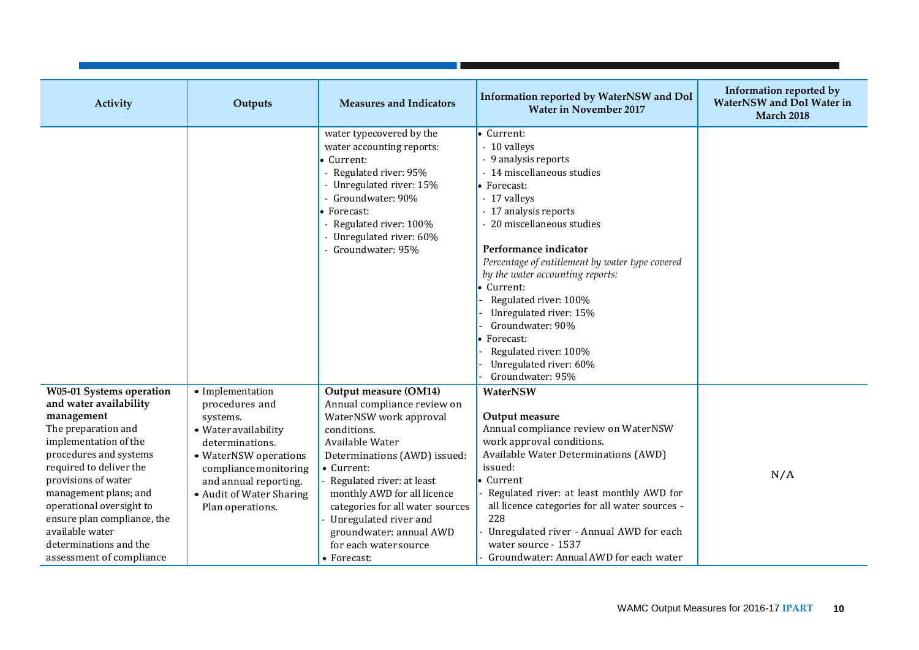| Activity                                                                                                                                                                                                                                                                                                                                                  | Outputs                                                                                                                                                                                                              | <b>Measures and Indicators</b>                                                                                                                                                                                                                                                                                                                             | Information reported by WaterNSW and DoI<br><b>Water in November 2017</b>                                                                                                                                                                                                                                                                                                                                                                                       | Information reported by<br><b>WaterNSW</b> and DoI Water in<br><b>March 2018</b> |
|-----------------------------------------------------------------------------------------------------------------------------------------------------------------------------------------------------------------------------------------------------------------------------------------------------------------------------------------------------------|----------------------------------------------------------------------------------------------------------------------------------------------------------------------------------------------------------------------|------------------------------------------------------------------------------------------------------------------------------------------------------------------------------------------------------------------------------------------------------------------------------------------------------------------------------------------------------------|-----------------------------------------------------------------------------------------------------------------------------------------------------------------------------------------------------------------------------------------------------------------------------------------------------------------------------------------------------------------------------------------------------------------------------------------------------------------|----------------------------------------------------------------------------------|
|                                                                                                                                                                                                                                                                                                                                                           |                                                                                                                                                                                                                      | water typecovered by the<br>water accounting reports:<br>• Current:<br>Regulated river: 95%<br>- Unregulated river: 15%<br>Groundwater: 90%<br>$\bullet$ Forecast:<br>Regulated river: 100%<br>Unregulated river: 60%<br>Groundwater: 95%                                                                                                                  | • Current:<br>- 10 valleys<br>- 9 analysis reports<br>- 14 miscellaneous studies<br>• Forecast:<br>- 17 valleys<br>- 17 analysis reports<br>- 20 miscellaneous studies<br>Performance indicator<br>Percentage of entitlement by water type covered<br>by the water accounting reports:<br>• Current:<br>Regulated river: 100%<br>Unregulated river: 15%<br>Groundwater: 90%<br>Forecast:<br>Regulated river: 100%<br>Unregulated river: 60%<br>Groundwater: 95% |                                                                                  |
| W05-01 Systems operation<br>and water availability<br>management<br>The preparation and<br>implementation of the<br>procedures and systems<br>required to deliver the<br>provisions of water<br>management plans; and<br>operational oversight to<br>ensure plan compliance, the<br>available water<br>determinations and the<br>assessment of compliance | • Implementation<br>procedures and<br>systems.<br>· Water availability<br>determinations.<br>• WaterNSW operations<br>compliance monitoring<br>and annual reporting.<br>• Audit of Water Sharing<br>Plan operations. | Output measure (OM14)<br>Annual compliance review on<br>WaterNSW work approval<br>conditions.<br>Available Water<br>Determinations (AWD) issued:<br>• Current:<br>Regulated river: at least<br>monthly AWD for all licence<br>categories for all water sources<br>Unregulated river and<br>groundwater: annual AWD<br>for each water source<br>• Forecast: | WaterNSW<br>Output measure<br>Annual compliance review on WaterNSW<br>work approval conditions.<br>Available Water Determinations (AWD)<br>issued:<br>• Current<br>Regulated river: at least monthly AWD for<br>all licence categories for all water sources -<br>228<br>Unregulated river - Annual AWD for each<br>water source - 1537<br>Groundwater: Annual AWD for each water                                                                               | N/A                                                                              |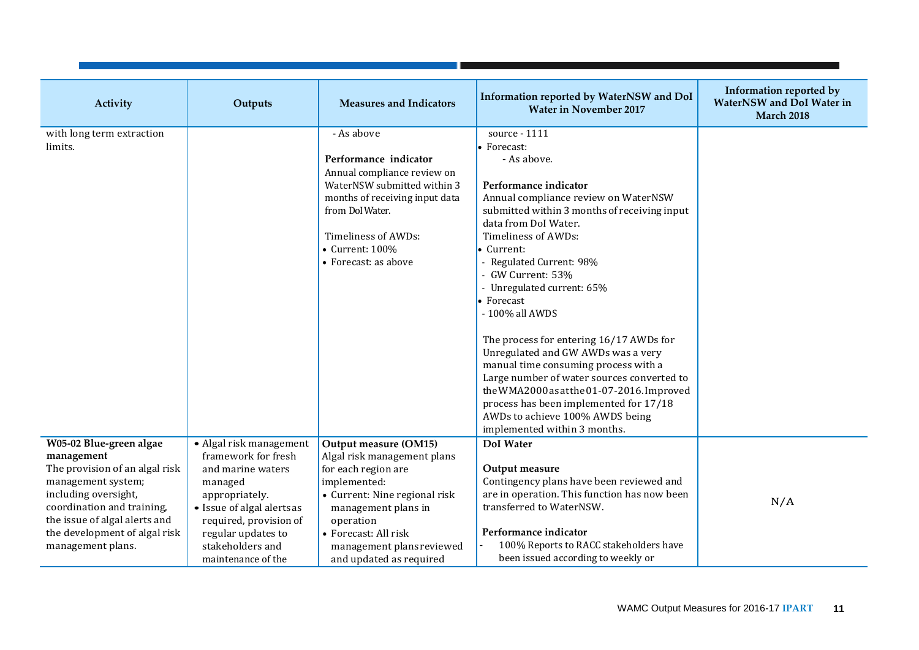| Activity                       | Outputs                    | <b>Measures and Indicators</b> | Information reported by WaterNSW and DoI<br><b>Water in November 2017</b> | Information reported by<br><b>WaterNSW</b> and DoI Water in<br><b>March 2018</b> |
|--------------------------------|----------------------------|--------------------------------|---------------------------------------------------------------------------|----------------------------------------------------------------------------------|
| with long term extraction      |                            | - As above                     | source - 1111                                                             |                                                                                  |
| limits.                        |                            |                                | • Forecast:                                                               |                                                                                  |
|                                |                            | Performance indicator          | - As above.                                                               |                                                                                  |
|                                |                            | Annual compliance review on    |                                                                           |                                                                                  |
|                                |                            | WaterNSW submitted within 3    | Performance indicator                                                     |                                                                                  |
|                                |                            | months of receiving input data | Annual compliance review on WaterNSW                                      |                                                                                  |
|                                |                            | from DoI Water.                | submitted within 3 months of receiving input                              |                                                                                  |
|                                |                            |                                | data from DoI Water.                                                      |                                                                                  |
|                                |                            | Timeliness of AWDs:            | Timeliness of AWDs:                                                       |                                                                                  |
|                                |                            | $\bullet$ Current: 100%        | • Current:                                                                |                                                                                  |
|                                |                            | • Forecast: as above           | - Regulated Current: 98%                                                  |                                                                                  |
|                                |                            |                                | - GW Current: 53%                                                         |                                                                                  |
|                                |                            |                                | - Unregulated current: 65%                                                |                                                                                  |
|                                |                            |                                | • Forecast                                                                |                                                                                  |
|                                |                            |                                | - 100% all AWDS                                                           |                                                                                  |
|                                |                            |                                |                                                                           |                                                                                  |
|                                |                            |                                | The process for entering 16/17 AWDs for                                   |                                                                                  |
|                                |                            |                                | Unregulated and GW AWDs was a very                                        |                                                                                  |
|                                |                            |                                | manual time consuming process with a                                      |                                                                                  |
|                                |                            |                                | Large number of water sources converted to                                |                                                                                  |
|                                |                            |                                | the WMA2000 as at the 01-07-2016. Improved                                |                                                                                  |
|                                |                            |                                | process has been implemented for 17/18                                    |                                                                                  |
|                                |                            |                                | AWDs to achieve 100% AWDS being<br>implemented within 3 months.           |                                                                                  |
| W05-02 Blue-green algae        | • Algal risk management    | Output measure (OM15)          | <b>DoI</b> Water                                                          |                                                                                  |
| management                     | framework for fresh        | Algal risk management plans    |                                                                           |                                                                                  |
| The provision of an algal risk | and marine waters          | for each region are            | Output measure                                                            |                                                                                  |
| management system;             | managed                    | implemented:                   | Contingency plans have been reviewed and                                  |                                                                                  |
| including oversight,           | appropriately.             | • Current: Nine regional risk  | are in operation. This function has now been                              |                                                                                  |
| coordination and training,     | • Issue of algal alerts as | management plans in            | transferred to WaterNSW.                                                  | N/A                                                                              |
| the issue of algal alerts and  | required, provision of     | operation                      |                                                                           |                                                                                  |
| the development of algal risk  | regular updates to         | • Forecast: All risk           | Performance indicator                                                     |                                                                                  |
| management plans.              | stakeholders and           | management plans reviewed      | 100% Reports to RACC stakeholders have                                    |                                                                                  |
|                                | maintenance of the         | and updated as required        | been issued according to weekly or                                        |                                                                                  |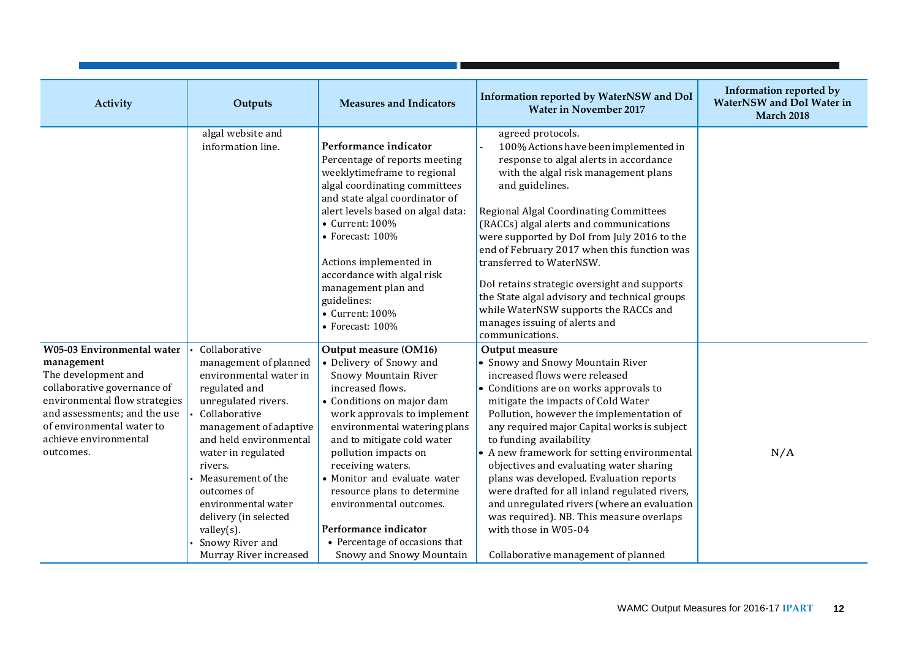| Activity                                                                                                                                                                                                                                  | Outputs                                                                                                                                                                                                                                                                                                                                                        | <b>Measures and Indicators</b>                                                                                                                                                                                                                                                                                                                                                                                                                       | Information reported by WaterNSW and DoI<br><b>Water in November 2017</b>                                                                                                                                                                                                                                                                                                                                                                                                                                                                                                                                                                 | Information reported by<br><b>WaterNSW</b> and DoI Water in<br><b>March 2018</b> |
|-------------------------------------------------------------------------------------------------------------------------------------------------------------------------------------------------------------------------------------------|----------------------------------------------------------------------------------------------------------------------------------------------------------------------------------------------------------------------------------------------------------------------------------------------------------------------------------------------------------------|------------------------------------------------------------------------------------------------------------------------------------------------------------------------------------------------------------------------------------------------------------------------------------------------------------------------------------------------------------------------------------------------------------------------------------------------------|-------------------------------------------------------------------------------------------------------------------------------------------------------------------------------------------------------------------------------------------------------------------------------------------------------------------------------------------------------------------------------------------------------------------------------------------------------------------------------------------------------------------------------------------------------------------------------------------------------------------------------------------|----------------------------------------------------------------------------------|
|                                                                                                                                                                                                                                           | algal website and<br>information line.                                                                                                                                                                                                                                                                                                                         | Performance indicator<br>Percentage of reports meeting<br>weeklytimeframe to regional<br>algal coordinating committees<br>and state algal coordinator of<br>alert levels based on algal data:<br>• Current: 100%<br>$\bullet$ Forecast: 100%<br>Actions implemented in<br>accordance with algal risk<br>management plan and<br>guidelines:<br>• Current: 100%<br>$\bullet$ Forecast: 100%                                                            | agreed protocols.<br>100% Actions have been implemented in<br>response to algal alerts in accordance<br>with the algal risk management plans<br>and guidelines.<br><b>Regional Algal Coordinating Committees</b><br>(RACCs) algal alerts and communications<br>were supported by DoI from July 2016 to the<br>end of February 2017 when this function was<br>transferred to WaterNSW.<br>DoI retains strategic oversight and supports<br>the State algal advisory and technical groups<br>while WaterNSW supports the RACCs and<br>manages issuing of alerts and<br>communications.                                                       |                                                                                  |
| <b>W05-03 Environmental water</b><br>management<br>The development and<br>collaborative governance of<br>environmental flow strategies<br>and assessments; and the use<br>of environmental water to<br>achieve environmental<br>outcomes. | Collaborative<br>management of planned<br>environmental water in<br>regulated and<br>unregulated rivers.<br>Collaborative<br>management of adaptive<br>and held environmental<br>water in regulated<br>rivers.<br>Measurement of the<br>outcomes of<br>environmental water<br>delivery (in selected<br>valley(s).<br>Snowy River and<br>Murray River increased | Output measure (OM16)<br>• Delivery of Snowy and<br>Snowy Mountain River<br>increased flows.<br>• Conditions on major dam<br>work approvals to implement<br>environmental watering plans<br>and to mitigate cold water<br>pollution impacts on<br>receiving waters.<br>• Monitor and evaluate water<br>resource plans to determine<br>environmental outcomes.<br>Performance indicator<br>• Percentage of occasions that<br>Snowy and Snowy Mountain | Output measure<br>• Snowy and Snowy Mountain River<br>increased flows were released<br>• Conditions are on works approvals to<br>mitigate the impacts of Cold Water<br>Pollution, however the implementation of<br>any required major Capital works is subject<br>to funding availability<br>• A new framework for setting environmental<br>objectives and evaluating water sharing<br>plans was developed. Evaluation reports<br>were drafted for all inland regulated rivers,<br>and unregulated rivers (where an evaluation<br>was required). NB. This measure overlaps<br>with those in W05-04<br>Collaborative management of planned | N/A                                                                              |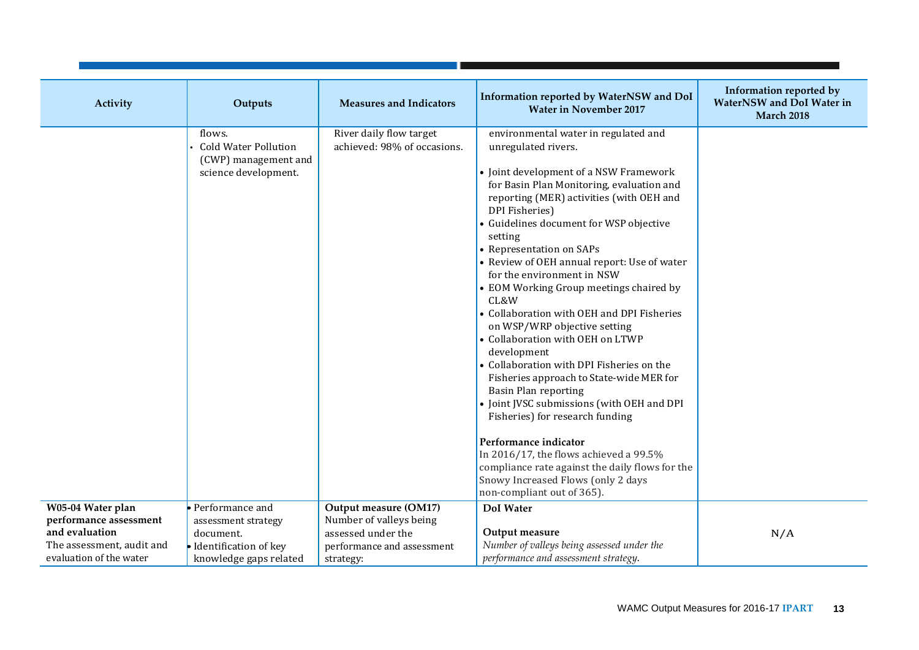| Activity                  | Outputs                                                                               | <b>Measures and Indicators</b>                         | Information reported by WaterNSW and DoI<br><b>Water in November 2017</b>                                                                                                                                                                                                                                                                                                                                                                                                                                                                                                                                                                                                                                                                                                                                                                                                                                                                                              | Information reported by<br><b>WaterNSW</b> and DoI Water in<br><b>March 2018</b> |
|---------------------------|---------------------------------------------------------------------------------------|--------------------------------------------------------|------------------------------------------------------------------------------------------------------------------------------------------------------------------------------------------------------------------------------------------------------------------------------------------------------------------------------------------------------------------------------------------------------------------------------------------------------------------------------------------------------------------------------------------------------------------------------------------------------------------------------------------------------------------------------------------------------------------------------------------------------------------------------------------------------------------------------------------------------------------------------------------------------------------------------------------------------------------------|----------------------------------------------------------------------------------|
|                           | flows.<br><b>Cold Water Pollution</b><br>(CWP) management and<br>science development. | River daily flow target<br>achieved: 98% of occasions. | environmental water in regulated and<br>unregulated rivers.<br>• Joint development of a NSW Framework<br>for Basin Plan Monitoring, evaluation and<br>reporting (MER) activities (with OEH and<br>DPI Fisheries)<br>• Guidelines document for WSP objective<br>setting<br>• Representation on SAPs<br>• Review of OEH annual report: Use of water<br>for the environment in NSW<br>• EOM Working Group meetings chaired by<br>CL&W<br>• Collaboration with OEH and DPI Fisheries<br>on WSP/WRP objective setting<br>• Collaboration with OEH on LTWP<br>development<br>• Collaboration with DPI Fisheries on the<br>Fisheries approach to State-wide MER for<br><b>Basin Plan reporting</b><br>• Joint JVSC submissions (with OEH and DPI<br>Fisheries) for research funding<br>Performance indicator<br>In 2016/17, the flows achieved a 99.5%<br>compliance rate against the daily flows for the<br>Snowy Increased Flows (only 2 days<br>non-compliant out of 365). |                                                                                  |
| W05-04 Water plan         | • Performance and                                                                     | Output measure (OM17)                                  | DoI Water                                                                                                                                                                                                                                                                                                                                                                                                                                                                                                                                                                                                                                                                                                                                                                                                                                                                                                                                                              |                                                                                  |
| performance assessment    | assessment strategy                                                                   | Number of valleys being                                |                                                                                                                                                                                                                                                                                                                                                                                                                                                                                                                                                                                                                                                                                                                                                                                                                                                                                                                                                                        |                                                                                  |
| and evaluation            | document.                                                                             | assessed under the                                     | Output measure                                                                                                                                                                                                                                                                                                                                                                                                                                                                                                                                                                                                                                                                                                                                                                                                                                                                                                                                                         | N/A                                                                              |
| The assessment, audit and | Identification of key                                                                 | performance and assessment                             | Number of valleys being assessed under the                                                                                                                                                                                                                                                                                                                                                                                                                                                                                                                                                                                                                                                                                                                                                                                                                                                                                                                             |                                                                                  |
| evaluation of the water   | knowledge gaps related                                                                | strategy:                                              | performance and assessment strategy.                                                                                                                                                                                                                                                                                                                                                                                                                                                                                                                                                                                                                                                                                                                                                                                                                                                                                                                                   |                                                                                  |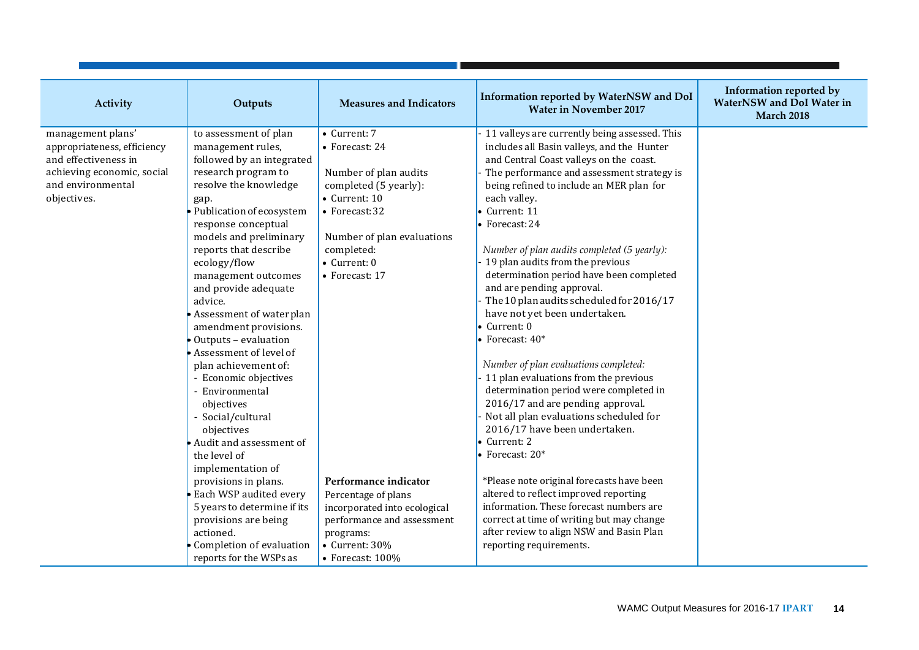| Activity                    | Outputs                     | <b>Measures and Indicators</b> | Information reported by WaterNSW and DoI<br><b>Water in November 2017</b> | Information reported by<br>WaterNSW and DoI Water in<br><b>March 2018</b> |
|-----------------------------|-----------------------------|--------------------------------|---------------------------------------------------------------------------|---------------------------------------------------------------------------|
| management plans'           | to assessment of plan       | • Current: 7                   | 11 valleys are currently being assessed. This                             |                                                                           |
| appropriateness, efficiency | management rules,           | • Forecast: 24                 | includes all Basin valleys, and the Hunter                                |                                                                           |
| and effectiveness in        | followed by an integrated   |                                | and Central Coast valleys on the coast.                                   |                                                                           |
| achieving economic, social  | research program to         | Number of plan audits          | The performance and assessment strategy is                                |                                                                           |
| and environmental           | resolve the knowledge       | completed (5 yearly):          | being refined to include an MER plan for                                  |                                                                           |
| objectives.                 | gap.                        | • Current: 10                  | each valley.                                                              |                                                                           |
|                             | Publication of ecosystem    | • Forecast: 32                 | $\bullet$ Current: 11                                                     |                                                                           |
|                             | response conceptual         |                                | $\bullet$ Forecast: 24                                                    |                                                                           |
|                             | models and preliminary      | Number of plan evaluations     |                                                                           |                                                                           |
|                             | reports that describe       | completed:                     | Number of plan audits completed (5 yearly):                               |                                                                           |
|                             | ecology/flow                | $\bullet$ Current: 0           | 19 plan audits from the previous                                          |                                                                           |
|                             | management outcomes         | • Forecast: 17                 | determination period have been completed                                  |                                                                           |
|                             | and provide adequate        |                                | and are pending approval.                                                 |                                                                           |
|                             | advice.                     |                                | The 10 plan audits scheduled for 2016/17                                  |                                                                           |
|                             | Assessment of waterplan     |                                | have not yet been undertaken.                                             |                                                                           |
|                             | amendment provisions.       |                                | $\bullet$ Current: 0                                                      |                                                                           |
|                             | Outputs - evaluation        |                                | $\bullet$ Forecast: $40*$                                                 |                                                                           |
|                             | Assessment of level of      |                                |                                                                           |                                                                           |
|                             | plan achievement of:        |                                | Number of plan evaluations completed:                                     |                                                                           |
|                             | - Economic objectives       |                                | 11 plan evaluations from the previous                                     |                                                                           |
|                             | - Environmental             |                                | determination period were completed in                                    |                                                                           |
|                             | objectives                  |                                | 2016/17 and are pending approval.                                         |                                                                           |
|                             | - Social/cultural           |                                | Not all plan evaluations scheduled for                                    |                                                                           |
|                             | objectives                  |                                | 2016/17 have been undertaken.                                             |                                                                           |
|                             | Audit and assessment of     |                                | $\bullet$ Current: 2                                                      |                                                                           |
|                             | the level of                |                                | $\bullet$ Forecast: 20*                                                   |                                                                           |
|                             | implementation of           |                                |                                                                           |                                                                           |
|                             | provisions in plans.        | Performance indicator          | *Please note original forecasts have been                                 |                                                                           |
|                             | Each WSP audited every      | Percentage of plans            | altered to reflect improved reporting                                     |                                                                           |
|                             | 5 years to determine if its | incorporated into ecological   | information. These forecast numbers are                                   |                                                                           |
|                             | provisions are being        | performance and assessment     | correct at time of writing but may change                                 |                                                                           |
|                             | actioned.                   | programs:                      | after review to align NSW and Basin Plan                                  |                                                                           |
|                             | Completion of evaluation    | $\bullet$ Current: 30%         | reporting requirements.                                                   |                                                                           |
|                             | reports for the WSPs as     | • Forecast: $100\%$            |                                                                           |                                                                           |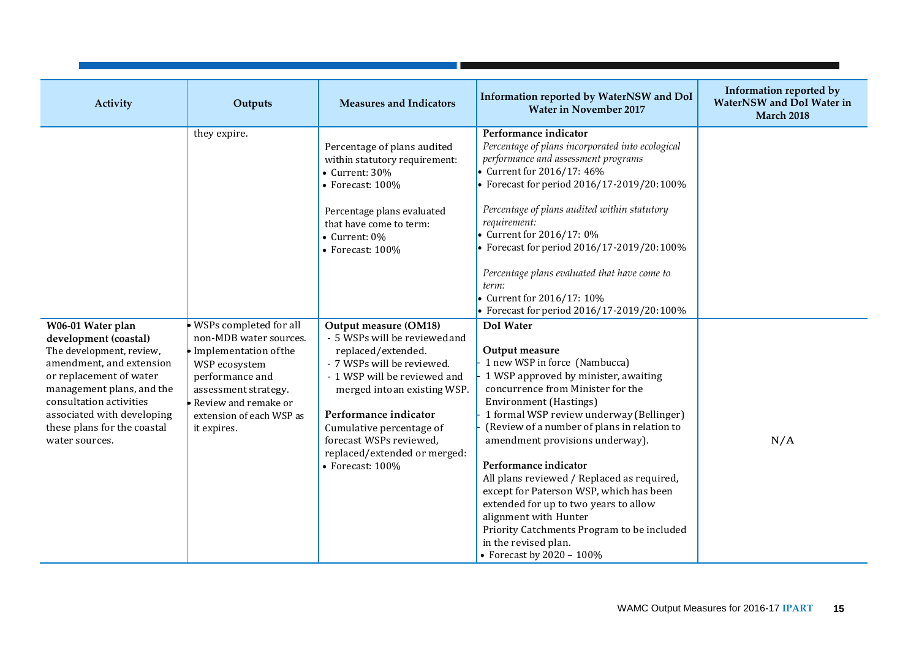| Activity                                                                                                                                                                                                                                                             | Outputs                                                                                                                                                                                                              | <b>Measures and Indicators</b>                                                                                                                                                                                                                                                                                 | Information reported by WaterNSW and DoI<br><b>Water in November 2017</b>                                                                                                                                                                                                                                                                                                                                                                                                                                                                                                                                 | Information reported by<br>WaterNSW and DoI Water in<br><b>March 2018</b> |
|----------------------------------------------------------------------------------------------------------------------------------------------------------------------------------------------------------------------------------------------------------------------|----------------------------------------------------------------------------------------------------------------------------------------------------------------------------------------------------------------------|----------------------------------------------------------------------------------------------------------------------------------------------------------------------------------------------------------------------------------------------------------------------------------------------------------------|-----------------------------------------------------------------------------------------------------------------------------------------------------------------------------------------------------------------------------------------------------------------------------------------------------------------------------------------------------------------------------------------------------------------------------------------------------------------------------------------------------------------------------------------------------------------------------------------------------------|---------------------------------------------------------------------------|
|                                                                                                                                                                                                                                                                      | they expire.                                                                                                                                                                                                         | Percentage of plans audited<br>within statutory requirement:<br>$\bullet$ Current: 30%<br>• Forecast: $100\%$<br>Percentage plans evaluated<br>that have come to term:<br>• Current: $0\%$<br>$\bullet$ Forecast: 100%                                                                                         | Performance indicator<br>Percentage of plans incorporated into ecological<br>performance and assessment programs<br>• Current for 2016/17: 46%<br>Forecast for period 2016/17-2019/20:100%<br>Percentage of plans audited within statutory<br>requirement:<br>Current for 2016/17: 0%<br>Forecast for period 2016/17-2019/20:100%<br>Percentage plans evaluated that have come to<br>term:<br>Current for 2016/17: 10%<br>Forecast for period 2016/17-2019/20:100%                                                                                                                                        |                                                                           |
| W06-01 Water plan<br>development (coastal)<br>The development, review,<br>amendment, and extension<br>or replacement of water<br>management plans, and the<br>consultation activities<br>associated with developing<br>these plans for the coastal<br>water sources. | · WSPs completed for all<br>non-MDB water sources.<br>$\bullet$ Implementation of the<br>WSP ecosystem<br>performance and<br>assessment strategy.<br>Review and remake or<br>extension of each WSP as<br>it expires. | Output measure (OM18)<br>- 5 WSPs will be reviewed and<br>replaced/extended.<br>- 7 WSPs will be reviewed.<br>- 1 WSP will be reviewed and<br>merged into an existing WSP.<br>Performance indicator<br>Cumulative percentage of<br>forecast WSPs reviewed,<br>replaced/extended or merged:<br>• Forecast: 100% | <b>DoI</b> Water<br>Output measure<br>1 new WSP in force (Nambucca)<br>1 WSP approved by minister, awaiting<br>concurrence from Minister for the<br><b>Environment</b> (Hastings)<br>1 formal WSP review underway (Bellinger)<br>(Review of a number of plans in relation to<br>amendment provisions underway).<br>Performance indicator<br>All plans reviewed / Replaced as required,<br>except for Paterson WSP, which has been<br>extended for up to two years to allow<br>alignment with Hunter<br>Priority Catchments Program to be included<br>in the revised plan.<br>• Forecast by $2020 - 100\%$ | N/A                                                                       |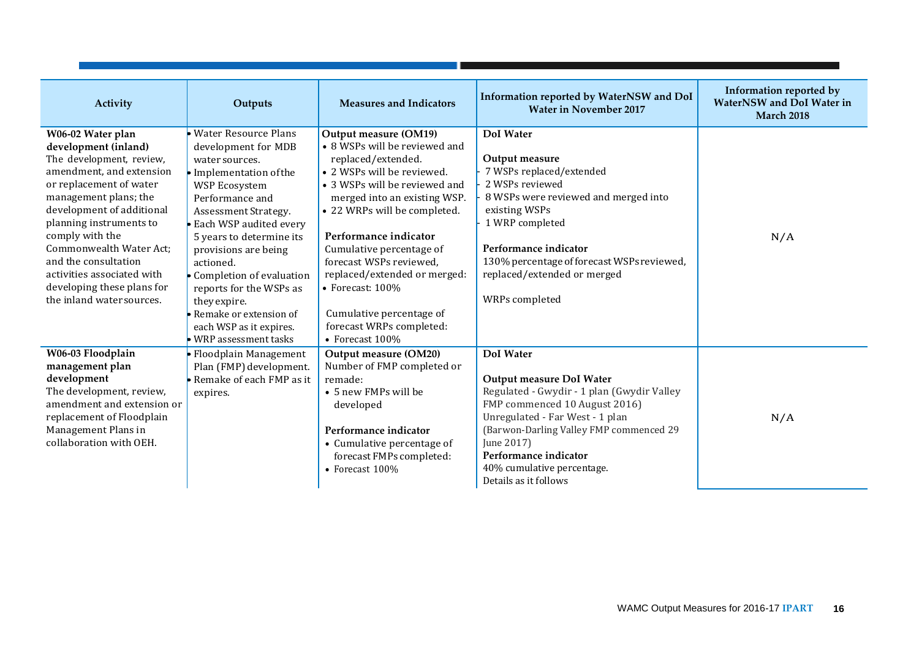| Activity                                                                                                                                                                                                                                                                                                                                                                     | Outputs                                                                                                                                                                                                                                                                                                                                                                                                    | <b>Measures and Indicators</b>                                                                                                                                                                                                                                                                                                                                                                                                | Information reported by WaterNSW and DoI<br><b>Water in November 2017</b>                                                                                                                                                                                                                               | <b>Information reported by</b><br><b>WaterNSW</b> and DoI Water in<br><b>March 2018</b> |
|------------------------------------------------------------------------------------------------------------------------------------------------------------------------------------------------------------------------------------------------------------------------------------------------------------------------------------------------------------------------------|------------------------------------------------------------------------------------------------------------------------------------------------------------------------------------------------------------------------------------------------------------------------------------------------------------------------------------------------------------------------------------------------------------|-------------------------------------------------------------------------------------------------------------------------------------------------------------------------------------------------------------------------------------------------------------------------------------------------------------------------------------------------------------------------------------------------------------------------------|---------------------------------------------------------------------------------------------------------------------------------------------------------------------------------------------------------------------------------------------------------------------------------------------------------|-----------------------------------------------------------------------------------------|
| W06-02 Water plan<br>development (inland)<br>The development, review,<br>amendment, and extension<br>or replacement of water<br>management plans; the<br>development of additional<br>planning instruments to<br>comply with the<br>Commonwealth Water Act;<br>and the consultation<br>activities associated with<br>developing these plans for<br>the inland water sources. | <b>Water Resource Plans</b><br>development for MDB<br>water sources.<br>· Implementation of the<br>WSP Ecosystem<br>Performance and<br>Assessment Strategy.<br>Each WSP audited every<br>5 years to determine its<br>provisions are being<br>actioned.<br>Completion of evaluation<br>reports for the WSPs as<br>they expire.<br>Remake or extension of<br>each WSP as it expires.<br>WRP assessment tasks | Output measure (OM19)<br>• 8 WSPs will be reviewed and<br>replaced/extended.<br>• 2 WSPs will be reviewed.<br>• 3 WSPs will be reviewed and<br>merged into an existing WSP.<br>• 22 WRPs will be completed.<br>Performance indicator<br>Cumulative percentage of<br>forecast WSPs reviewed,<br>replaced/extended or merged:<br>• Forecast: $100\%$<br>Cumulative percentage of<br>forecast WRPs completed:<br>• Forecast 100% | DoI Water<br>Output measure<br>7 WSPs replaced/extended<br>2 WSPs reviewed<br>8 WSPs were reviewed and merged into<br>existing WSPs<br>1 WRP completed<br>Performance indicator<br>130% percentage of forecast WSPs reviewed,<br>replaced/extended or merged<br>WRPs completed                          | N/A                                                                                     |
| W06-03 Floodplain<br>management plan<br>development<br>The development, review,<br>amendment and extension or<br>replacement of Floodplain<br>Management Plans in<br>collaboration with OEH.                                                                                                                                                                                 | Floodplain Management<br>Plan (FMP) development.<br>Remake of each FMP as it<br>expires.                                                                                                                                                                                                                                                                                                                   | Output measure (OM20)<br>Number of FMP completed or<br>remade:<br>• 5 new FMPs will be<br>developed<br>Performance indicator<br>• Cumulative percentage of<br>forecast FMPs completed:<br>• Forecast $100\%$                                                                                                                                                                                                                  | <b>DoI</b> Water<br>Output measure DoI Water<br>Regulated - Gwydir - 1 plan (Gwydir Valley<br>FMP commenced 10 August 2016)<br>Unregulated - Far West - 1 plan<br>(Barwon-Darling Valley FMP commenced 29<br>June 2017)<br>Performance indicator<br>40% cumulative percentage.<br>Details as it follows | N/A                                                                                     |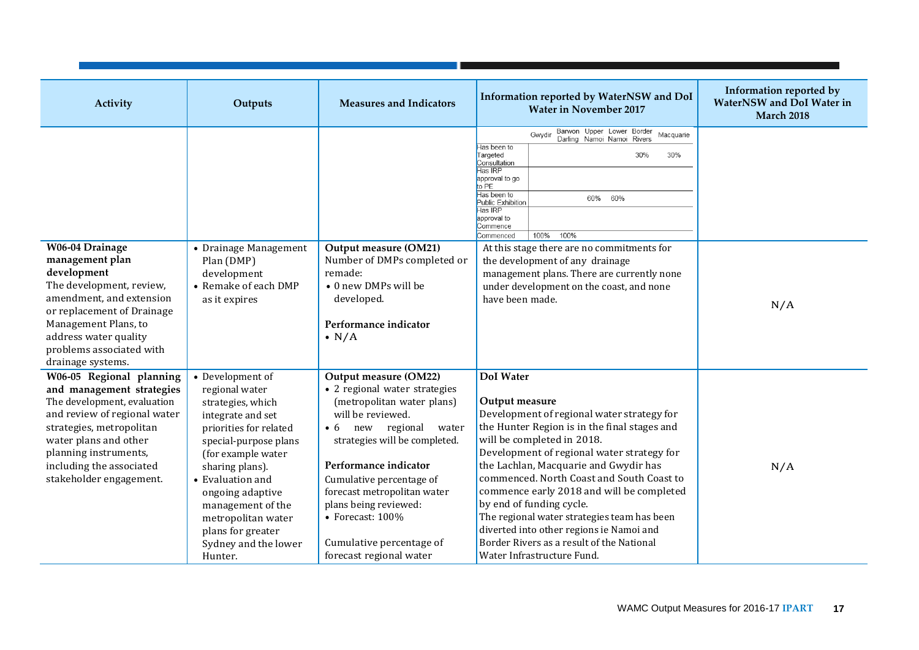| Activity                                                                                                                                                                                                                                                  | Outputs                                                                                                                                                                                                                                                                                                             | <b>Measures and Indicators</b>                                                                                                                                                                                                                                                                                                                                                | Information reported by WaterNSW and DoI<br><b>Water in November 2017</b>                                                                                                                                                                                                                                                                                                                                                                                                                                                                         | Information reported by<br><b>WaterNSW</b> and DoI Water in<br><b>March 2018</b> |
|-----------------------------------------------------------------------------------------------------------------------------------------------------------------------------------------------------------------------------------------------------------|---------------------------------------------------------------------------------------------------------------------------------------------------------------------------------------------------------------------------------------------------------------------------------------------------------------------|-------------------------------------------------------------------------------------------------------------------------------------------------------------------------------------------------------------------------------------------------------------------------------------------------------------------------------------------------------------------------------|---------------------------------------------------------------------------------------------------------------------------------------------------------------------------------------------------------------------------------------------------------------------------------------------------------------------------------------------------------------------------------------------------------------------------------------------------------------------------------------------------------------------------------------------------|----------------------------------------------------------------------------------|
|                                                                                                                                                                                                                                                           |                                                                                                                                                                                                                                                                                                                     |                                                                                                                                                                                                                                                                                                                                                                               | Barwon Upper Lower Border<br>Macquarie<br>Gwydir<br>Darling Namoi Namoi Rivers<br>las been to<br>Targeted<br>30%<br>30%<br>Consultation<br>Has IRP<br>approval to go<br>to PE<br>Has been to<br>60%<br>60%<br>Public Exhibition<br>Has IRP<br>approval to<br>Commence<br>100%<br>100%<br>Commenced                                                                                                                                                                                                                                                |                                                                                  |
| W06-04 Drainage<br>management plan<br>development<br>The development, review,<br>amendment, and extension<br>or replacement of Drainage<br>Management Plans, to<br>address water quality<br>problems associated with<br>drainage systems.                 | • Drainage Management<br>Plan (DMP)<br>development<br>• Remake of each DMP<br>as it expires                                                                                                                                                                                                                         | Output measure (OM21)<br>Number of DMPs completed or<br>remade:<br>• 0 new DMPs will be<br>developed.<br>Performance indicator<br>$\bullet$ N/A                                                                                                                                                                                                                               | At this stage there are no commitments for<br>the development of any drainage<br>management plans. There are currently none<br>under development on the coast, and none<br>have been made.                                                                                                                                                                                                                                                                                                                                                        | N/A                                                                              |
| W06-05 Regional planning<br>and management strategies<br>The development, evaluation<br>and review of regional water<br>strategies, metropolitan<br>water plans and other<br>planning instruments,<br>including the associated<br>stakeholder engagement. | • Development of<br>regional water<br>strategies, which<br>integrate and set<br>priorities for related<br>special-purpose plans<br>(for example water<br>sharing plans).<br>• Evaluation and<br>ongoing adaptive<br>management of the<br>metropolitan water<br>plans for greater<br>Sydney and the lower<br>Hunter. | Output measure (OM22)<br>• 2 regional water strategies<br>(metropolitan water plans)<br>will be reviewed.<br>new regional<br>water<br>$\bullet$ 6<br>strategies will be completed.<br>Performance indicator<br>Cumulative percentage of<br>forecast metropolitan water<br>plans being reviewed:<br>• Forecast: $100\%$<br>Cumulative percentage of<br>forecast regional water | <b>DoI</b> Water<br>Output measure<br>Development of regional water strategy for<br>the Hunter Region is in the final stages and<br>will be completed in 2018.<br>Development of regional water strategy for<br>the Lachlan, Macquarie and Gwydir has<br>commenced. North Coast and South Coast to<br>commence early 2018 and will be completed<br>by end of funding cycle.<br>The regional water strategies team has been<br>diverted into other regions ie Namoi and<br>Border Rivers as a result of the National<br>Water Infrastructure Fund. | N/A                                                                              |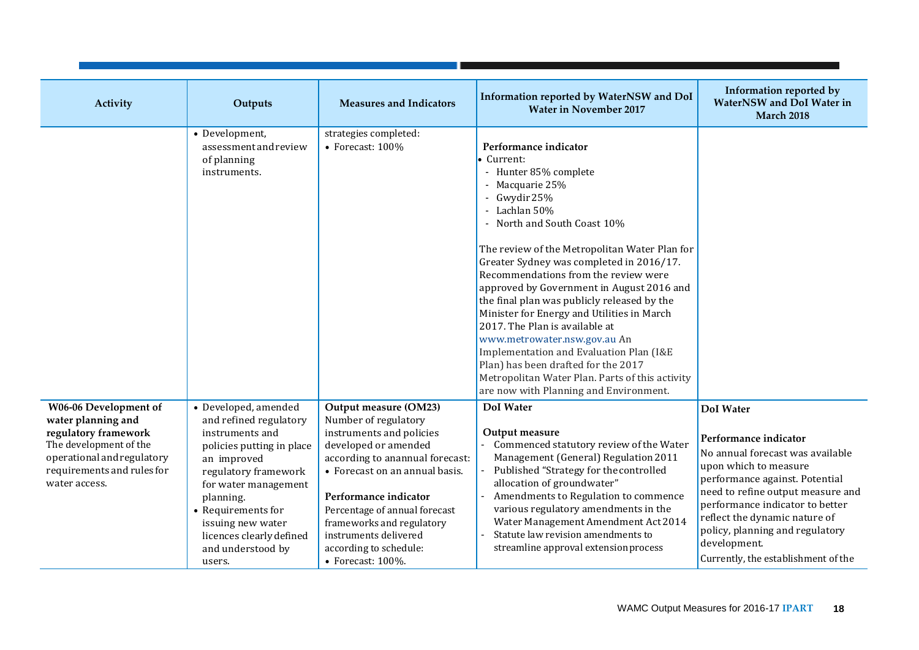| Activity                                                                                                                                                                   | Outputs                                                                                                                                                                                                                                                                          | <b>Measures and Indicators</b>                                                                                                                                                                                                                                                                                                                | Information reported by WaterNSW and DoI<br><b>Water in November 2017</b>                                                                                                                                                                                                                                                                                                                                                                                                                                                                                                                                                                                                       | Information reported by<br><b>WaterNSW</b> and DoI Water in<br><b>March 2018</b>                                                                                                                                                                                                                                                            |
|----------------------------------------------------------------------------------------------------------------------------------------------------------------------------|----------------------------------------------------------------------------------------------------------------------------------------------------------------------------------------------------------------------------------------------------------------------------------|-----------------------------------------------------------------------------------------------------------------------------------------------------------------------------------------------------------------------------------------------------------------------------------------------------------------------------------------------|---------------------------------------------------------------------------------------------------------------------------------------------------------------------------------------------------------------------------------------------------------------------------------------------------------------------------------------------------------------------------------------------------------------------------------------------------------------------------------------------------------------------------------------------------------------------------------------------------------------------------------------------------------------------------------|---------------------------------------------------------------------------------------------------------------------------------------------------------------------------------------------------------------------------------------------------------------------------------------------------------------------------------------------|
|                                                                                                                                                                            | • Development,<br>assessment and review<br>of planning<br>instruments.                                                                                                                                                                                                           | strategies completed:<br>$\bullet$ Forecast: 100%                                                                                                                                                                                                                                                                                             | Performance indicator<br>• Current:<br>- Hunter 85% complete<br>- Macquarie 25%<br>- Gwydir 25%<br>- Lachlan 50%<br>- North and South Coast 10%<br>The review of the Metropolitan Water Plan for<br>Greater Sydney was completed in 2016/17.<br>Recommendations from the review were<br>approved by Government in August 2016 and<br>the final plan was publicly released by the<br>Minister for Energy and Utilities in March<br>2017. The Plan is available at<br>www.metrowater.nsw.gov.au An<br>Implementation and Evaluation Plan (I&E<br>Plan) has been drafted for the 2017<br>Metropolitan Water Plan. Parts of this activity<br>are now with Planning and Environment. |                                                                                                                                                                                                                                                                                                                                             |
| W06-06 Development of<br>water planning and<br>regulatory framework<br>The development of the<br>operational and regulatory<br>requirements and rules for<br>water access. | • Developed, amended<br>and refined regulatory<br>instruments and<br>policies putting in place<br>an improved<br>regulatory framework<br>for water management<br>planning.<br>• Requirements for<br>issuing new water<br>licences clearly defined<br>and understood by<br>users. | Output measure (OM23)<br>Number of regulatory<br>instruments and policies<br>developed or amended<br>according to anannual forecast:<br>• Forecast on an annual basis.<br>Performance indicator<br>Percentage of annual forecast<br>frameworks and regulatory<br>instruments delivered<br>according to schedule:<br>$\bullet$ Forecast: 100%. | <b>DoI</b> Water<br>Output measure<br>Commenced statutory review of the Water<br>Management (General) Regulation 2011<br>Published "Strategy for the controlled<br>allocation of groundwater"<br>Amendments to Regulation to commence<br>various regulatory amendments in the<br>Water Management Amendment Act 2014<br>Statute law revision amendments to<br>streamline approval extension process                                                                                                                                                                                                                                                                             | <b>DoI</b> Water<br>Performance indicator<br>No annual forecast was available<br>upon which to measure<br>performance against. Potential<br>need to refine output measure and<br>performance indicator to better<br>reflect the dynamic nature of<br>policy, planning and regulatory<br>development.<br>Currently, the establishment of the |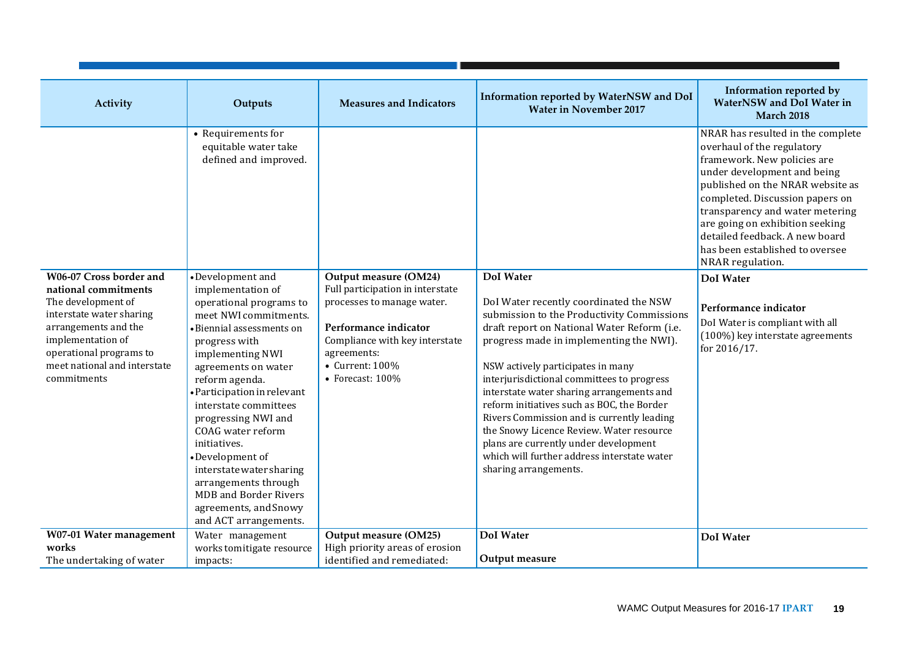| Activity                                                                                                                                                                                                                 | Outputs                                                                                                                                                                                                                                                                                                                                                                                                                                                                           | <b>Measures and Indicators</b>                                                                                                                                                                                   | Information reported by WaterNSW and DoI<br><b>Water in November 2017</b>                                                                                                                                                                                                                                                                                                                                                                                                                                                                                                                   | Information reported by<br><b>WaterNSW</b> and DoI Water in<br><b>March 2018</b>                                                                                                                                                                                                                                                                                    |
|--------------------------------------------------------------------------------------------------------------------------------------------------------------------------------------------------------------------------|-----------------------------------------------------------------------------------------------------------------------------------------------------------------------------------------------------------------------------------------------------------------------------------------------------------------------------------------------------------------------------------------------------------------------------------------------------------------------------------|------------------------------------------------------------------------------------------------------------------------------------------------------------------------------------------------------------------|---------------------------------------------------------------------------------------------------------------------------------------------------------------------------------------------------------------------------------------------------------------------------------------------------------------------------------------------------------------------------------------------------------------------------------------------------------------------------------------------------------------------------------------------------------------------------------------------|---------------------------------------------------------------------------------------------------------------------------------------------------------------------------------------------------------------------------------------------------------------------------------------------------------------------------------------------------------------------|
|                                                                                                                                                                                                                          | • Requirements for<br>equitable water take<br>defined and improved.                                                                                                                                                                                                                                                                                                                                                                                                               |                                                                                                                                                                                                                  |                                                                                                                                                                                                                                                                                                                                                                                                                                                                                                                                                                                             | NRAR has resulted in the complete<br>overhaul of the regulatory<br>framework. New policies are<br>under development and being<br>published on the NRAR website as<br>completed. Discussion papers on<br>transparency and water metering<br>are going on exhibition seeking<br>detailed feedback. A new board<br>has been established to oversee<br>NRAR regulation. |
| W06-07 Cross border and<br>national commitments<br>The development of<br>interstate water sharing<br>arrangements and the<br>implementation of<br>operational programs to<br>meet national and interstate<br>commitments | •Development and<br>implementation of<br>operational programs to<br>meet NWI commitments.<br>· Biennial assessments on<br>progress with<br>implementing NWI<br>agreements on water<br>reform agenda.<br>• Participation in relevant<br>interstate committees<br>progressing NWI and<br>COAG water reform<br>initiatives.<br>•Development of<br>interstate water sharing<br>arrangements through<br><b>MDB</b> and Border Rivers<br>agreements, and Snowy<br>and ACT arrangements. | Output measure (OM24)<br>Full participation in interstate<br>processes to manage water.<br>Performance indicator<br>Compliance with key interstate<br>agreements:<br>• Current: 100%<br>$\bullet$ Forecast: 100% | <b>DoI</b> Water<br>DoI Water recently coordinated the NSW<br>submission to the Productivity Commissions<br>draft report on National Water Reform (i.e.<br>progress made in implementing the NWI).<br>NSW actively participates in many<br>interjurisdictional committees to progress<br>interstate water sharing arrangements and<br>reform initiatives such as BOC, the Border<br>Rivers Commission and is currently leading<br>the Snowy Licence Review. Water resource<br>plans are currently under development<br>which will further address interstate water<br>sharing arrangements. | <b>DoI</b> Water<br>Performance indicator<br>DoI Water is compliant with all<br>(100%) key interstate agreements<br>for 2016/17.                                                                                                                                                                                                                                    |
| W07-01 Water management                                                                                                                                                                                                  | Water management                                                                                                                                                                                                                                                                                                                                                                                                                                                                  | Output measure (OM25)                                                                                                                                                                                            | <b>DoI</b> Water                                                                                                                                                                                                                                                                                                                                                                                                                                                                                                                                                                            | <b>DoI</b> Water                                                                                                                                                                                                                                                                                                                                                    |
| works                                                                                                                                                                                                                    | works tomitigate resource                                                                                                                                                                                                                                                                                                                                                                                                                                                         | High priority areas of erosion                                                                                                                                                                                   |                                                                                                                                                                                                                                                                                                                                                                                                                                                                                                                                                                                             |                                                                                                                                                                                                                                                                                                                                                                     |
| The undertaking of water                                                                                                                                                                                                 | impacts:                                                                                                                                                                                                                                                                                                                                                                                                                                                                          | identified and remediated:                                                                                                                                                                                       | Output measure                                                                                                                                                                                                                                                                                                                                                                                                                                                                                                                                                                              |                                                                                                                                                                                                                                                                                                                                                                     |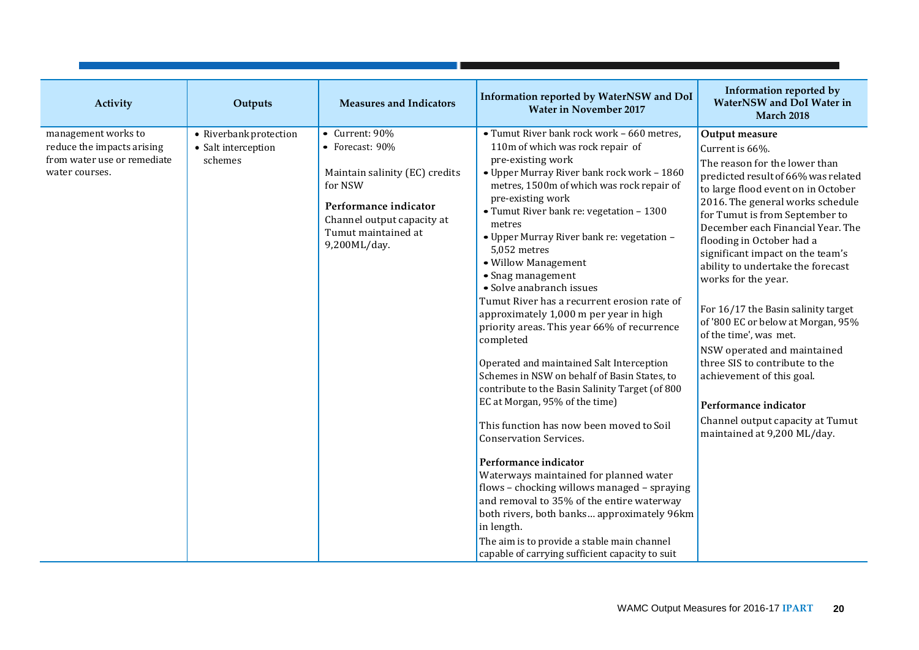| Activity                                                                                           | Outputs                                                  | <b>Measures and Indicators</b>                                                                                                                                               | Information reported by WaterNSW and DoI<br><b>Water in November 2017</b>                                                                                                                                                                                                                                                                                                                                                                                                                                                                                                                                                                                                                                                                                                                                                                                                                                                                                                                                                                                                                                                                                        | Information reported by<br>WaterNSW and DoI Water in<br><b>March 2018</b>                                                                                                                                                                                                                                                                                                                                                                                                                                                                                                                                                                                                                |
|----------------------------------------------------------------------------------------------------|----------------------------------------------------------|------------------------------------------------------------------------------------------------------------------------------------------------------------------------------|------------------------------------------------------------------------------------------------------------------------------------------------------------------------------------------------------------------------------------------------------------------------------------------------------------------------------------------------------------------------------------------------------------------------------------------------------------------------------------------------------------------------------------------------------------------------------------------------------------------------------------------------------------------------------------------------------------------------------------------------------------------------------------------------------------------------------------------------------------------------------------------------------------------------------------------------------------------------------------------------------------------------------------------------------------------------------------------------------------------------------------------------------------------|------------------------------------------------------------------------------------------------------------------------------------------------------------------------------------------------------------------------------------------------------------------------------------------------------------------------------------------------------------------------------------------------------------------------------------------------------------------------------------------------------------------------------------------------------------------------------------------------------------------------------------------------------------------------------------------|
| management works to<br>reduce the impacts arising<br>from water use or remediate<br>water courses. | • Riverbank protection<br>• Salt interception<br>schemes | • Current: 90%<br>• Forecast: 90%<br>Maintain salinity (EC) credits<br>for NSW<br>Performance indicator<br>Channel output capacity at<br>Tumut maintained at<br>9,200ML/day. | • Tumut River bank rock work - 660 metres,<br>110m of which was rock repair of<br>pre-existing work<br>• Upper Murray River bank rock work - 1860<br>metres, 1500m of which was rock repair of<br>pre-existing work<br>• Tumut River bank re: vegetation - 1300<br>metres<br>• Upper Murray River bank re: vegetation -<br>5.052 metres<br>• Willow Management<br>• Snag management<br>• Solve anabranch issues<br>Tumut River has a recurrent erosion rate of<br>approximately 1,000 m per year in high<br>priority areas. This year 66% of recurrence<br>completed<br>Operated and maintained Salt Interception<br>Schemes in NSW on behalf of Basin States, to<br>contribute to the Basin Salinity Target (of 800<br>EC at Morgan, 95% of the time)<br>This function has now been moved to Soil<br><b>Conservation Services.</b><br>Performance indicator<br>Waterways maintained for planned water<br>flows - chocking willows managed - spraying<br>and removal to 35% of the entire waterway<br>both rivers, both banks approximately 96km<br>in length.<br>The aim is to provide a stable main channel<br>capable of carrying sufficient capacity to suit | Output measure<br>Current is 66%.<br>The reason for the lower than<br>predicted result of 66% was related<br>to large flood event on in October<br>2016. The general works schedule<br>for Tumut is from September to<br>December each Financial Year. The<br>flooding in October had a<br>significant impact on the team's<br>ability to undertake the forecast<br>works for the year.<br>For 16/17 the Basin salinity target<br>of '800 EC or below at Morgan, 95%<br>of the time', was met.<br>NSW operated and maintained<br>three SIS to contribute to the<br>achievement of this goal.<br>Performance indicator<br>Channel output capacity at Tumut<br>maintained at 9,200 ML/day. |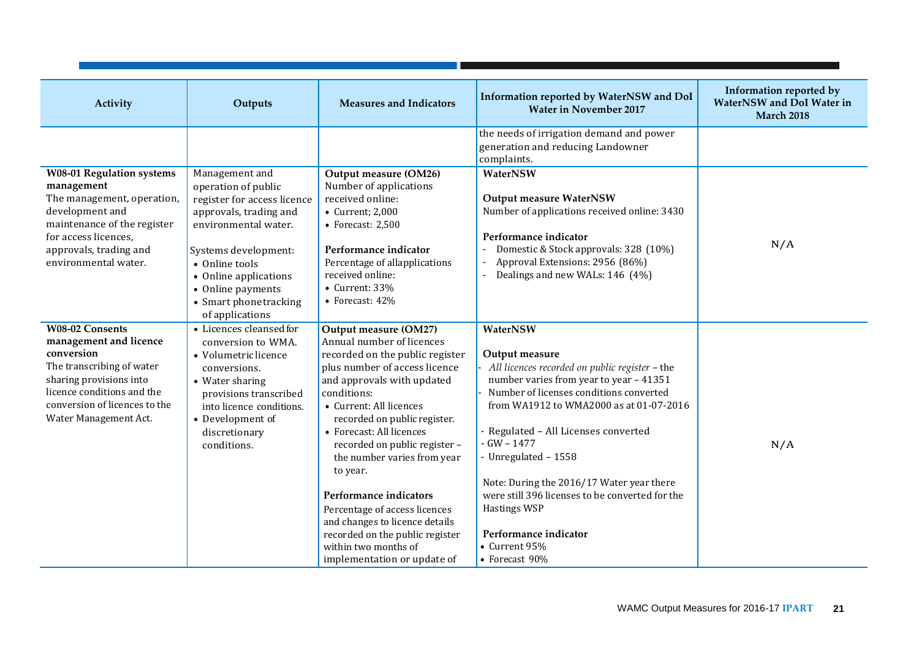| Activity                                                                                                                                                                                                       | Outputs                                                                                                                                                                                                                                                     | <b>Measures and Indicators</b>                                                                                                                                                                                                                                                                                                                                                                                                                                                                                                | Information reported by WaterNSW and DoI<br><b>Water in November 2017</b>                                                                                                                                                                                                                                                                                                                                                                                                      | Information reported by<br>WaterNSW and DoI Water in<br><b>March 2018</b> |
|----------------------------------------------------------------------------------------------------------------------------------------------------------------------------------------------------------------|-------------------------------------------------------------------------------------------------------------------------------------------------------------------------------------------------------------------------------------------------------------|-------------------------------------------------------------------------------------------------------------------------------------------------------------------------------------------------------------------------------------------------------------------------------------------------------------------------------------------------------------------------------------------------------------------------------------------------------------------------------------------------------------------------------|--------------------------------------------------------------------------------------------------------------------------------------------------------------------------------------------------------------------------------------------------------------------------------------------------------------------------------------------------------------------------------------------------------------------------------------------------------------------------------|---------------------------------------------------------------------------|
|                                                                                                                                                                                                                |                                                                                                                                                                                                                                                             |                                                                                                                                                                                                                                                                                                                                                                                                                                                                                                                               | the needs of irrigation demand and power<br>generation and reducing Landowner<br>complaints.                                                                                                                                                                                                                                                                                                                                                                                   |                                                                           |
| <b>W08-01 Regulation systems</b><br>management<br>The management, operation,<br>development and<br>maintenance of the register<br>for access licences,<br>approvals, trading and<br>environmental water.       | Management and<br>operation of public<br>register for access licence<br>approvals, trading and<br>environmental water.<br>Systems development:<br>• Online tools<br>• Online applications<br>• Online payments<br>• Smart phone tracking<br>of applications | Output measure (OM26)<br>Number of applications<br>received online:<br>• Current; 2,000<br>$\bullet$ Forecast: 2,500<br>Performance indicator<br>Percentage of allapplications<br>received online:<br>$\bullet$ Current: 33%<br>• Forecast: 42%                                                                                                                                                                                                                                                                               | WaterNSW<br><b>Output measure WaterNSW</b><br>Number of applications received online: 3430<br>Performance indicator<br>Domestic & Stock approvals: 328 (10%)<br>Approval Extensions: 2956 (86%)<br>Dealings and new WALs: 146 (4%)                                                                                                                                                                                                                                             | N/A                                                                       |
| <b>W08-02 Consents</b><br>management and licence<br>conversion<br>The transcribing of water<br>sharing provisions into<br>licence conditions and the<br>conversion of licences to the<br>Water Management Act. | • Licences cleansed for<br>conversion to WMA.<br>• Volumetric licence<br>conversions.<br>• Water sharing<br>provisions transcribed<br>into licence conditions.<br>• Development of<br>discretionary<br>conditions.                                          | Output measure (OM27)<br>Annual number of licences<br>recorded on the public register<br>plus number of access licence<br>and approvals with updated<br>conditions:<br>• Current: All licences<br>recorded on public register.<br>• Forecast: All licences<br>recorded on public register -<br>the number varies from year<br>to year.<br>Performance indicators<br>Percentage of access licences<br>and changes to licence details<br>recorded on the public register<br>within two months of<br>implementation or update of | WaterNSW<br>Output measure<br>All licences recorded on public register - the<br>number varies from year to year - 41351<br>Number of licenses conditions converted<br>from WA1912 to WMA2000 as at 01-07-2016<br>Regulated - All Licenses converted<br>$-GW - 1477$<br>- Unregulated - 1558<br>Note: During the 2016/17 Water year there<br>were still 396 licenses to be converted for the<br><b>Hastings WSP</b><br>Performance indicator<br>• Current 95%<br>• Forecast 90% | N/A                                                                       |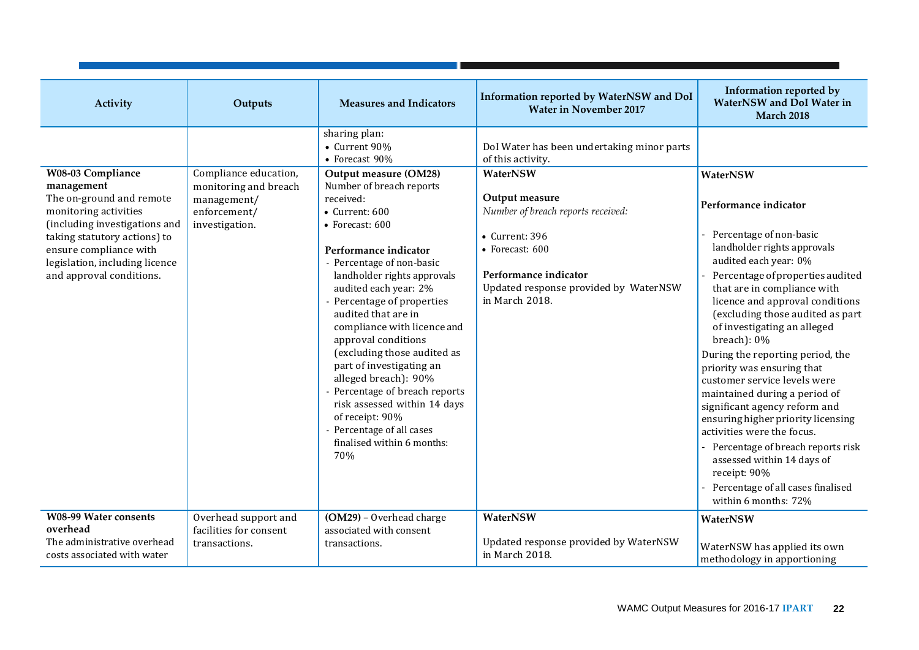| Activity                                                                                                                                                                                                                                             | Outputs                                                                                         | <b>Measures and Indicators</b>                                                                                                                                                                                                                                                                                                                                                                                                                                                                                                                                                                                                     | Information reported by WaterNSW and DoI<br><b>Water in November 2017</b>                                                                                                                                                                                    | Information reported by<br><b>WaterNSW</b> and DoI Water in<br><b>March 2018</b>                                                                                                                                                                                                                                                                                                                                                                                                                                                                                                                                                                                                                        |
|------------------------------------------------------------------------------------------------------------------------------------------------------------------------------------------------------------------------------------------------------|-------------------------------------------------------------------------------------------------|------------------------------------------------------------------------------------------------------------------------------------------------------------------------------------------------------------------------------------------------------------------------------------------------------------------------------------------------------------------------------------------------------------------------------------------------------------------------------------------------------------------------------------------------------------------------------------------------------------------------------------|--------------------------------------------------------------------------------------------------------------------------------------------------------------------------------------------------------------------------------------------------------------|---------------------------------------------------------------------------------------------------------------------------------------------------------------------------------------------------------------------------------------------------------------------------------------------------------------------------------------------------------------------------------------------------------------------------------------------------------------------------------------------------------------------------------------------------------------------------------------------------------------------------------------------------------------------------------------------------------|
| <b>W08-03 Compliance</b><br>management<br>The on-ground and remote<br>monitoring activities<br>(including investigations and<br>taking statutory actions) to<br>ensure compliance with<br>legislation, including licence<br>and approval conditions. | Compliance education,<br>monitoring and breach<br>management/<br>enforcement/<br>investigation. | sharing plan:<br>• Current 90%<br>• Forecast 90%<br>Output measure (OM28)<br>Number of breach reports<br>received:<br>$\bullet$ Current: 600<br>• Forecast: 600<br>Performance indicator<br>- Percentage of non-basic<br>landholder rights approvals<br>audited each year: 2%<br>- Percentage of properties<br>audited that are in<br>compliance with licence and<br>approval conditions<br>(excluding those audited as<br>part of investigating an<br>alleged breach): 90%<br>- Percentage of breach reports<br>risk assessed within 14 days<br>of receipt: 90%<br>- Percentage of all cases<br>finalised within 6 months:<br>70% | DoI Water has been undertaking minor parts<br>of this activity.<br>WaterNSW<br>Output measure<br>Number of breach reports received:<br>• Current: 396<br>• Forecast: 600<br>Performance indicator<br>Updated response provided by WaterNSW<br>in March 2018. | WaterNSW<br>Performance indicator<br>Percentage of non-basic<br>landholder rights approvals<br>audited each year: 0%<br>Percentage of properties audited<br>that are in compliance with<br>licence and approval conditions<br>(excluding those audited as part<br>of investigating an alleged<br>$breach)$ : 0%<br>During the reporting period, the<br>priority was ensuring that<br>customer service levels were<br>maintained during a period of<br>significant agency reform and<br>ensuring higher priority licensing<br>activities were the focus.<br>Percentage of breach reports risk<br>assessed within 14 days of<br>receipt: 90%<br>Percentage of all cases finalised<br>within 6 months: 72% |
| <b>W08-99 Water consents</b><br>overhead<br>The administrative overhead<br>costs associated with water                                                                                                                                               | Overhead support and<br>facilities for consent<br>transactions.                                 | (OM29) - Overhead charge<br>associated with consent<br>transactions.                                                                                                                                                                                                                                                                                                                                                                                                                                                                                                                                                               | WaterNSW<br>Updated response provided by WaterNSW<br>in March 2018.                                                                                                                                                                                          | WaterNSW<br>WaterNSW has applied its own<br>methodology in apportioning                                                                                                                                                                                                                                                                                                                                                                                                                                                                                                                                                                                                                                 |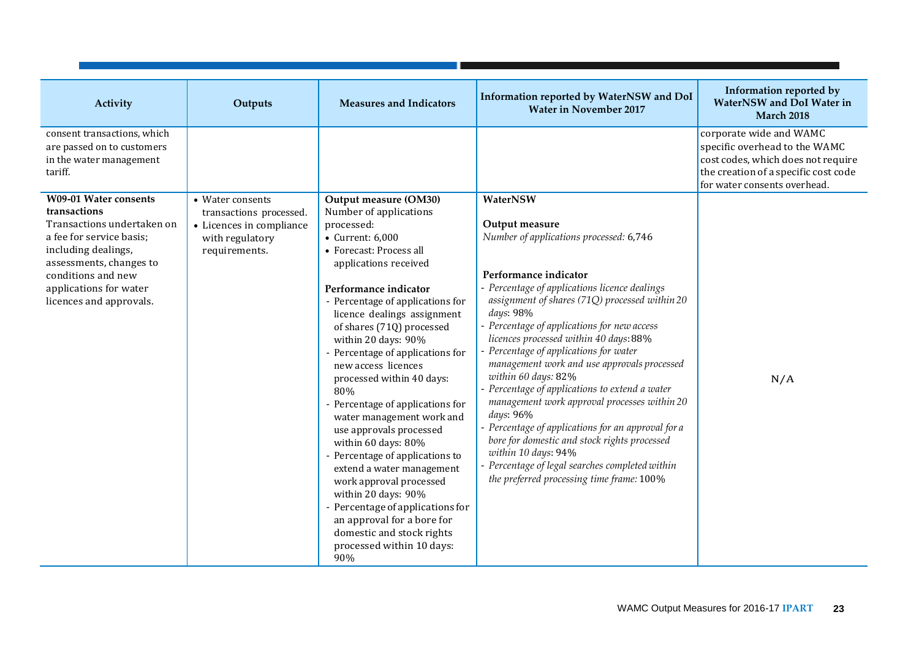| Activity                                                                                                                                                                                                                            | Outputs                                                                                                     | <b>Measures and Indicators</b>                                                                                                                                                                                                                                                                                                                                                                                                                                                                                                                                                                                                                                                                                                                       | Information reported by WaterNSW and DoI<br><b>Water in November 2017</b>                                                                                                                                                                                                                                                                                                                                                                                                                                                                                                                                                                                                                                                                               | Information reported by<br><b>WaterNSW</b> and DoI Water in<br><b>March 2018</b>                                                                                       |
|-------------------------------------------------------------------------------------------------------------------------------------------------------------------------------------------------------------------------------------|-------------------------------------------------------------------------------------------------------------|------------------------------------------------------------------------------------------------------------------------------------------------------------------------------------------------------------------------------------------------------------------------------------------------------------------------------------------------------------------------------------------------------------------------------------------------------------------------------------------------------------------------------------------------------------------------------------------------------------------------------------------------------------------------------------------------------------------------------------------------------|---------------------------------------------------------------------------------------------------------------------------------------------------------------------------------------------------------------------------------------------------------------------------------------------------------------------------------------------------------------------------------------------------------------------------------------------------------------------------------------------------------------------------------------------------------------------------------------------------------------------------------------------------------------------------------------------------------------------------------------------------------|------------------------------------------------------------------------------------------------------------------------------------------------------------------------|
| consent transactions, which<br>are passed on to customers<br>in the water management<br>tariff.                                                                                                                                     |                                                                                                             |                                                                                                                                                                                                                                                                                                                                                                                                                                                                                                                                                                                                                                                                                                                                                      |                                                                                                                                                                                                                                                                                                                                                                                                                                                                                                                                                                                                                                                                                                                                                         | corporate wide and WAMC<br>specific overhead to the WAMC<br>cost codes, which does not require<br>the creation of a specific cost code<br>for water consents overhead. |
| <b>W09-01 Water consents</b><br>transactions<br>Transactions undertaken on<br>a fee for service basis;<br>including dealings,<br>assessments, changes to<br>conditions and new<br>applications for water<br>licences and approvals. | • Water consents<br>transactions processed.<br>• Licences in compliance<br>with regulatory<br>requirements. | Output measure (OM30)<br>Number of applications<br>processed:<br>• Current: 6,000<br>• Forecast: Process all<br>applications received<br>Performance indicator<br>- Percentage of applications for<br>licence dealings assignment<br>of shares (71Q) processed<br>within 20 days: 90%<br>Percentage of applications for<br>new access licences<br>processed within 40 days:<br>80%<br>Percentage of applications for<br>water management work and<br>use approvals processed<br>within 60 days: 80%<br>Percentage of applications to<br>extend a water management<br>work approval processed<br>within 20 days: 90%<br>Percentage of applications for<br>an approval for a bore for<br>domestic and stock rights<br>processed within 10 days:<br>90% | WaterNSW<br>Output measure<br>Number of applications processed: 6,746<br>Performance indicator<br>Percentage of applications licence dealings<br>assignment of shares (71Q) processed within 20<br>days: 98%<br>Percentage of applications for new access<br>licences processed within 40 days: 88%<br>Percentage of applications for water<br>management work and use approvals processed<br>within 60 days: 82%<br>Percentage of applications to extend a water<br>management work approval processes within 20<br>days: 96%<br>Percentage of applications for an approval for a<br>bore for domestic and stock rights processed<br>within 10 days: 94%<br>Percentage of legal searches completed within<br>the preferred processing time frame: 100% | N/A                                                                                                                                                                    |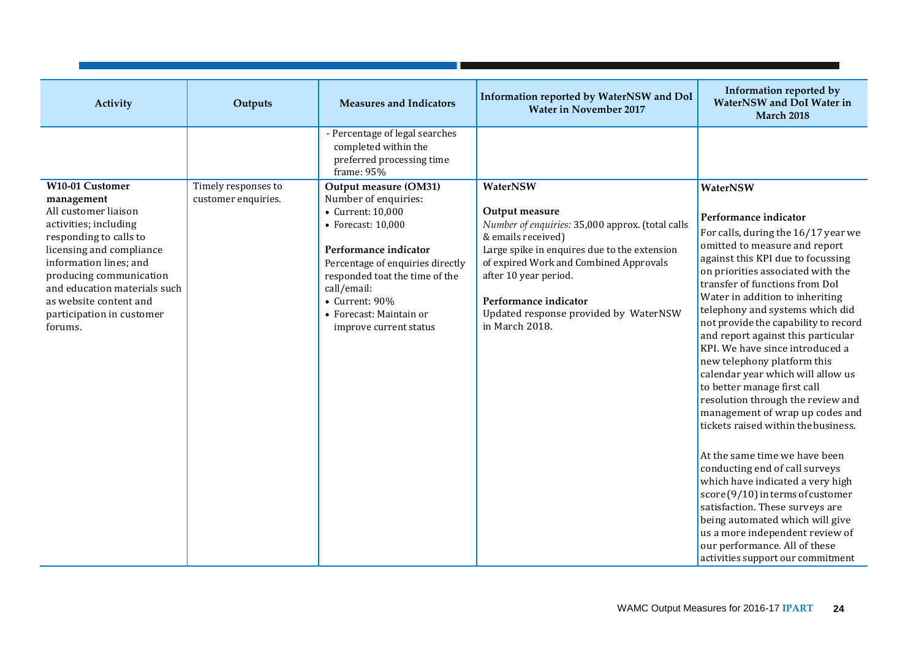| Activity                                                                                                                                                                                                                                                                                    | Outputs                                    | <b>Measures and Indicators</b>                                                                                                                                                                                                                                                        | Information reported by WaterNSW and DoI<br><b>Water in November 2017</b>                                                                                                                                                                                                                                   | Information reported by<br><b>WaterNSW</b> and DoI Water in<br><b>March 2018</b>                                                                                                                                                                                                                                                                                                                                                                                                                                                                                                                                                                                                                                                                                                                                                                                                                                                                            |
|---------------------------------------------------------------------------------------------------------------------------------------------------------------------------------------------------------------------------------------------------------------------------------------------|--------------------------------------------|---------------------------------------------------------------------------------------------------------------------------------------------------------------------------------------------------------------------------------------------------------------------------------------|-------------------------------------------------------------------------------------------------------------------------------------------------------------------------------------------------------------------------------------------------------------------------------------------------------------|-------------------------------------------------------------------------------------------------------------------------------------------------------------------------------------------------------------------------------------------------------------------------------------------------------------------------------------------------------------------------------------------------------------------------------------------------------------------------------------------------------------------------------------------------------------------------------------------------------------------------------------------------------------------------------------------------------------------------------------------------------------------------------------------------------------------------------------------------------------------------------------------------------------------------------------------------------------|
|                                                                                                                                                                                                                                                                                             |                                            | - Percentage of legal searches<br>completed within the<br>preferred processing time<br>frame: 95%                                                                                                                                                                                     |                                                                                                                                                                                                                                                                                                             |                                                                                                                                                                                                                                                                                                                                                                                                                                                                                                                                                                                                                                                                                                                                                                                                                                                                                                                                                             |
| W10-01 Customer<br>management<br>All customer liaison<br>activities; including<br>responding to calls to<br>licensing and compliance<br>information lines; and<br>producing communication<br>and education materials such<br>as website content and<br>participation in customer<br>forums. | Timely responses to<br>customer enquiries. | Output measure (OM31)<br>Number of enquiries:<br>• Current: 10,000<br>$\bullet$ Forecast: 10,000<br>Performance indicator<br>Percentage of enquiries directly<br>responded toat the time of the<br>call/email:<br>• Current: 90%<br>• Forecast: Maintain or<br>improve current status | WaterNSW<br>Output measure<br>Number of enquiries: 35,000 approx. (total calls<br>& emails received)<br>Large spike in enquires due to the extension<br>of expired Work and Combined Approvals<br>after 10 year period.<br>Performance indicator<br>Updated response provided by WaterNSW<br>in March 2018. | WaterNSW<br>Performance indicator<br>For calls, during the 16/17 year we<br>omitted to measure and report<br>against this KPI due to focussing<br>on priorities associated with the<br>transfer of functions from DoI<br>Water in addition to inheriting<br>telephony and systems which did<br>not provide the capability to record<br>and report against this particular<br>KPI. We have since introduced a<br>new telephony platform this<br>calendar year which will allow us<br>to better manage first call<br>resolution through the review and<br>management of wrap up codes and<br>tickets raised within the business.<br>At the same time we have been<br>conducting end of call surveys<br>which have indicated a very high<br>score $(9/10)$ in terms of customer<br>satisfaction. These surveys are<br>being automated which will give<br>us a more independent review of<br>our performance. All of these<br>activities support our commitment |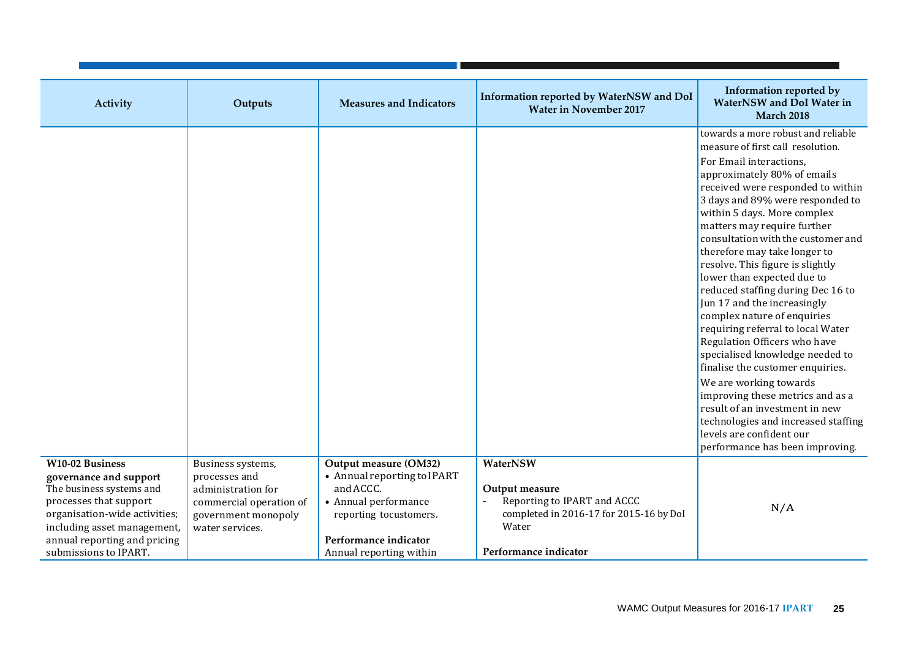| Activity                                                                                                                                                                                                                        | Outputs                                                                                                                       | <b>Measures and Indicators</b>                                                                                                                                          | Information reported by WaterNSW and DoI<br><b>Water in November 2017</b>                                                              | Information reported by<br><b>WaterNSW</b> and DoI Water in<br><b>March 2018</b>                                                                                                                                                                                                                                                                                                                                                                                                                                                                                                                                                                                                                                                                                                                                                   |
|---------------------------------------------------------------------------------------------------------------------------------------------------------------------------------------------------------------------------------|-------------------------------------------------------------------------------------------------------------------------------|-------------------------------------------------------------------------------------------------------------------------------------------------------------------------|----------------------------------------------------------------------------------------------------------------------------------------|------------------------------------------------------------------------------------------------------------------------------------------------------------------------------------------------------------------------------------------------------------------------------------------------------------------------------------------------------------------------------------------------------------------------------------------------------------------------------------------------------------------------------------------------------------------------------------------------------------------------------------------------------------------------------------------------------------------------------------------------------------------------------------------------------------------------------------|
|                                                                                                                                                                                                                                 |                                                                                                                               |                                                                                                                                                                         |                                                                                                                                        | towards a more robust and reliable<br>measure of first call resolution.<br>For Email interactions,<br>approximately 80% of emails<br>received were responded to within<br>3 days and 89% were responded to<br>within 5 days. More complex<br>matters may require further<br>consultation with the customer and<br>therefore may take longer to<br>resolve. This figure is slightly<br>lower than expected due to<br>reduced staffing during Dec 16 to<br>Jun 17 and the increasingly<br>complex nature of enquiries<br>requiring referral to local Water<br>Regulation Officers who have<br>specialised knowledge needed to<br>finalise the customer enquiries.<br>We are working towards<br>improving these metrics and as a<br>result of an investment in new<br>technologies and increased staffing<br>levels are confident our |
|                                                                                                                                                                                                                                 |                                                                                                                               |                                                                                                                                                                         |                                                                                                                                        | performance has been improving.                                                                                                                                                                                                                                                                                                                                                                                                                                                                                                                                                                                                                                                                                                                                                                                                    |
| <b>W10-02 Business</b><br>governance and support<br>The business systems and<br>processes that support<br>organisation-wide activities;<br>including asset management,<br>annual reporting and pricing<br>submissions to IPART. | Business systems,<br>processes and<br>administration for<br>commercial operation of<br>government monopoly<br>water services. | Output measure (OM32)<br>• Annual reporting to IPART<br>and ACCC.<br>• Annual performance<br>reporting tocustomers.<br>Performance indicator<br>Annual reporting within | WaterNSW<br>Output measure<br>Reporting to IPART and ACCC<br>completed in 2016-17 for 2015-16 by DoI<br>Water<br>Performance indicator | N/A                                                                                                                                                                                                                                                                                                                                                                                                                                                                                                                                                                                                                                                                                                                                                                                                                                |